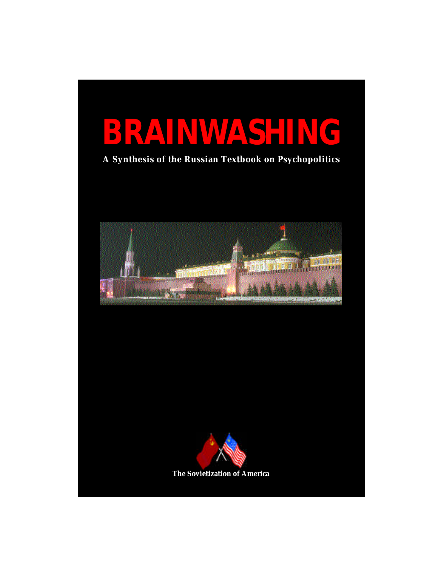# **BRAINWASHING**

#### **A Synthesis of the Russian Textbook on Psychopolitics**



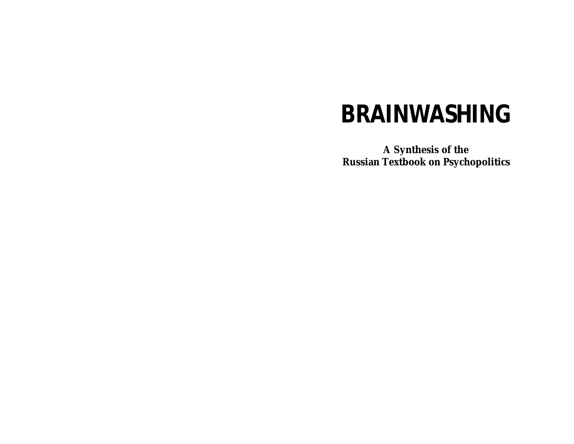## **BRAINWASHING**

**A Synthesis of the Russian Textbook on Psychopolitics**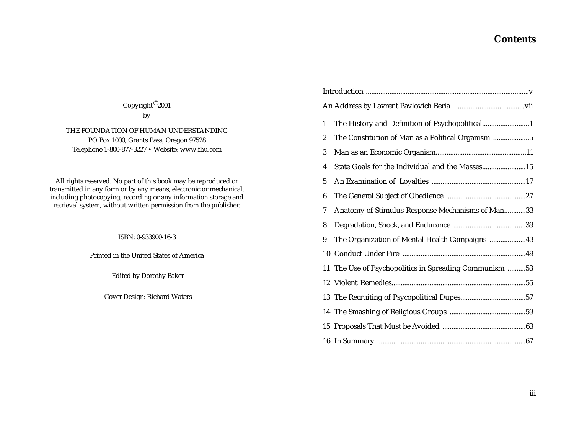#### **Contents**

| 1  | The History and Definition of Psychopolitical1         |  |
|----|--------------------------------------------------------|--|
| 2  | The Constitution of Man as a Political Organism 5      |  |
| 3  |                                                        |  |
| 4  | State Goals for the Individual and the Masses15        |  |
| 5  |                                                        |  |
| 6  |                                                        |  |
| 7  | Anatomy of Stimulus-Response Mechanisms of Man33       |  |
| 8  |                                                        |  |
| 9  | The Organization of Mental Health Campaigns 43         |  |
| 10 |                                                        |  |
|    | 11 The Use of Psychopolitics in Spreading Communism 53 |  |
|    |                                                        |  |
|    |                                                        |  |
|    |                                                        |  |
|    |                                                        |  |
|    |                                                        |  |

#### Copyright©2001 by

#### THE FOUNDATION OF HUMAN UNDERSTANDING PO Box 1000, Grants Pass, Oregon 97528 Telephone 1-800-877-3227 • Website: www.fhu.com

All rights reserved. No part of this book may be reproduced or transmitted in any form or by any means, electronic or mechanical, including photocopying, recording or any information storage and retrieval system, without written permission from the publisher.

ISBN: 0-933900-16-3

Printed in the United States of America

Edited by Dorothy Baker

Cover Design: Richard Waters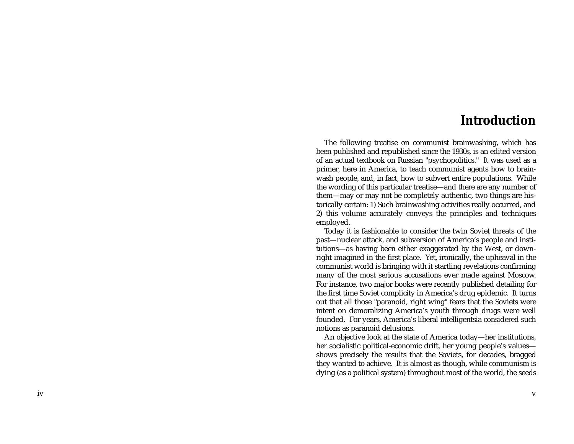#### **Introduction**

The following treatise on communist brainwashing, which has been published and republished since the 1930s, is an edited version of an actual textbook on Russian "psychopolitics." It was used as a primer, here in America, to teach communist agents how to brainwash people, and, in fact, how to subvert entire populations. While the wording of this particular treatise—and there are any number of them—may or may not be completely authentic, two things are historically certain: 1) Such brainwashing activities really occurred, and 2) this volume accurately conveys the principles and techniques employed.

Today it is fashionable to consider the twin Soviet threats of the past—nuclear attack, and subversion of America's people and institutions—as having been either exaggerated by the West, or downright imagined in the first place. Yet, ironically, the upheaval in the communist world is bringing with it startling revelations confirming many of the most serious accusations ever made against Moscow. For instance, two major books were recently published detailing for the first time Soviet complicity in America's drug epidemic. It turns out that all those "paranoid, right wing" fears that the Soviets were intent on demoralizing America's youth through drugs were well founded. For years, America's liberal intelligentsia considered such notions as paranoid delusions.

An objective look at the state of America today—her institutions, her socialistic political-economic drift, her young people's values shows precisely the results that the Soviets, for decades, bragged they wanted to achieve. It is almost as though, while communism is dying (as a political system) throughout most of the world, the seeds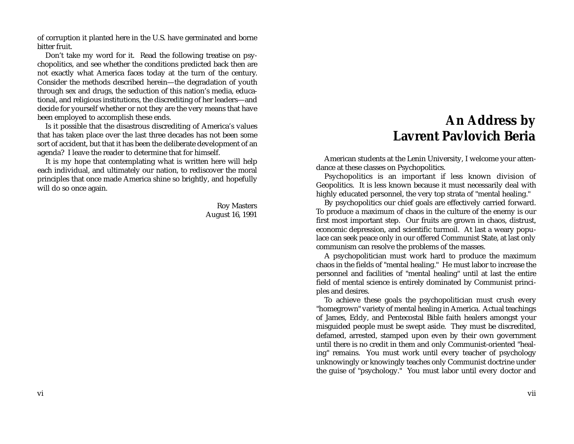of corruption it planted here in the U.S. have germinated and borne bitter fruit.

Don't take my word for it. Read the following treatise on psychopolitics, and see whether the conditions predicted back then are not exactly what America faces today at the turn of the century. Consider the methods described herein—the degradation of youth through sex and drugs, the seduction of this nation's media, educational, and religious institutions, the discrediting of her leaders—and decide for yourself whether or not they are the very means that have been employed to accomplish these ends.

Is it possible that the disastrous discrediting of America's values that has taken place over the last three decades has not been some sort of accident, but that it has been the deliberate development of an agenda? I leave the reader to determine that for himself.

It is my hope that contemplating what is written here will help each individual, and ultimately our nation, to rediscover the moral principles that once made America shine so brightly, and hopefully will do so once again.

> Roy Masters August 16, 1991

## **An Address by Lavrent Pavlovich Beria**

American students at the Lenin University, I welcome your attendance at these classes on Psychopolitics.

Psychopolitics is an important if less known division of Geopolitics. It is less known because it must necessarily deal with highly educated personnel, the very top strata of "mental healing."

By psychopolitics our chief goals are effectively carried forward. To produce a maximum of chaos in the culture of the enemy is our first most important step. Our fruits are grown in chaos, distrust, economic depression, and scientific turmoil. At last a weary populace can seek peace only in our offered Communist State, at last only communism can resolve the problems of the masses.

A psychopolitician must work hard to produce the maximum chaos in the fields of "mental healing." He must labor to increase the personnel and facilities of "mental healing" until at last the entire field of mental science is entirely dominated by Communist principles and desires.

To achieve these goals the psychopolitician must crush every "homegrown" variety of mental healing in America. Actual teachings of James, Eddy, and Pentecostal Bible faith healers amongst your misguided people must be swept aside. They must be discredited, defamed, arrested, stamped upon even by their own government until there is no credit in them and only Communist-oriented "healing" remains. You must work until every teacher of psychology unknowingly or knowingly teaches only Communist doctrine under the guise of "psychology." You must labor until every doctor and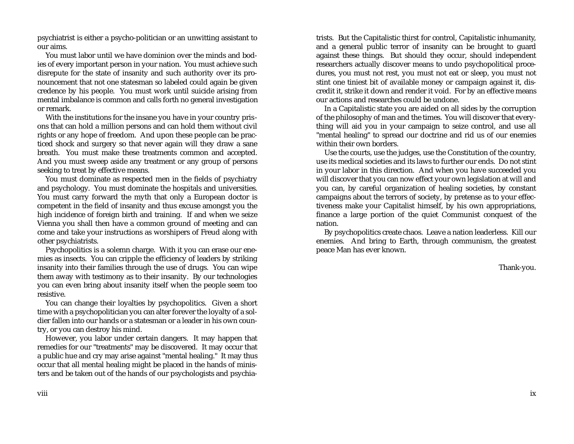psychiatrist is either a psycho-politician or an unwitting assistant to our aims.

You must labor until we have dominion over the minds and bodies of every important person in your nation. You must achieve such disrepute for the state of insanity and such authority over its pronouncement that not one statesman so labeled could again be given credence by his people. You must work until suicide arising from mental imbalance is common and calls forth no general investigation or remark.

With the institutions for the insane you have in your country prisons that can hold a million persons and can hold them without civil rights or any hope of freedom. And upon these people can be practiced shock and surgery so that never again will they draw a sane breath. You must make these treatments common and accepted. And you must sweep aside any treatment or any group of persons seeking to treat by effective means.

You must dominate as respected men in the fields of psychiatry and psychology. You must dominate the hospitals and universities. You must carry forward the myth that only a European doctor is competent in the field of insanity and thus excuse amongst you the high incidence of foreign birth and training. If and when we seize Vienna you shall then have a common ground of meeting and can come and take your instructions as worshipers of Freud along with other psychiatrists.

Psychopolitics is a solemn charge. With it you can erase our enemies as insects. You can cripple the efficiency of leaders by striking insanity into their families through the use of drugs. You can wipe them away with testimony as to their insanity. By our technologies you can even bring about insanity itself when the people seem too resistive.

You can change their loyalties by psychopolitics. Given a short time with a psychopolitician you can alter forever the loyalty of a soldier fallen into our hands or a statesman or a leader in his own country, or you can destroy his mind.

However, you labor under certain dangers. It may happen that remedies for our "treatments" may be discovered. It may occur that a public hue and cry may arise against "mental healing." It may thus occur that all mental healing might be placed in the hands of ministers and be taken out of the hands of our psychologists and psychiatrists. But the Capitalistic thirst for control, Capitalistic inhumanity, and a general public terror of insanity can be brought to guard against these things. But should they occur, should independent researchers actually discover means to undo psychopolitical procedures, you must not rest, you must not eat or sleep, you must not stint one tiniest bit of available money or campaign against it, discredit it, strike it down and render it void. For by an effective means our actions and researches could be undone.

In a Capitalistic state you are aided on all sides by the corruption of the philosophy of man and the times. You will discover that everything will aid you in your campaign to seize control, and use all "mental healing" to spread our doctrine and rid us of our enemies within their own borders.

Use the courts, use the judges, use the Constitution of the country, use its medical societies and its laws to further our ends. Do not stint in your labor in this direction. And when you have succeeded you will discover that you can now effect your own legislation at will and you can, by careful organization of healing societies, by constant campaigns about the terrors of society, by pretense as to your effectiveness make your Capitalist himself, by his own appropriations, finance a large portion of the quiet Communist conquest of the nation.

By psychopolitics create chaos. Leave a nation leaderless. Kill our enemies. And bring to Earth, through communism, the greatest peace Man has ever known.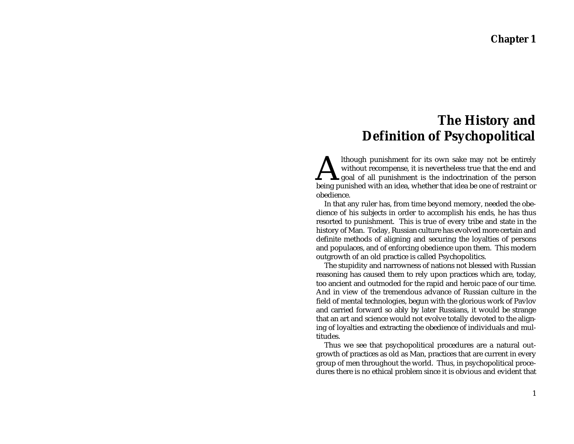#### **Chapter 1**

### **The History and Definition of Psychopolitical**

A lthough punishment for its own sake may not be entirely without recompense, it is nevertheless true that the end and goal of all punishment is the indoctrination of the person being punished with an idea, whether that id lthough punishment for its own sake may not be entirely without recompense, it is nevertheless true that the end and **A**goal of all punishment is the indoctrination of the person obedience.

In that any ruler has, from time beyond memory, needed the obedience of his subjects in order to accomplish his ends, he has thus resorted to punishment. This is true of every tribe and state in the history of Man. Today, Russian culture has evolved more certain and definite methods of aligning and securing the loyalties of persons and populaces, and of enforcing obedience upon them. This modern outgrowth of an old practice is called Psychopolitics.

The stupidity and narrowness of nations not blessed with Russian reasoning has caused them to rely upon practices which are, today, too ancient and outmoded for the rapid and heroic pace of our time. And in view of the tremendous advance of Russian culture in the field of mental technologies, begun with the glorious work of Pavlov and carried forward so ably by later Russians, it would be strange that an art and science would not evolve totally devoted to the aligning of loyalties and extracting the obedience of individuals and multitudes.

Thus we see that psychopolitical procedures are a natural outgrowth of practices as old as Man, practices that are current in every group of men throughout the world. Thus, in psychopolitical procedures there is no ethical problem since it is obvious and evident that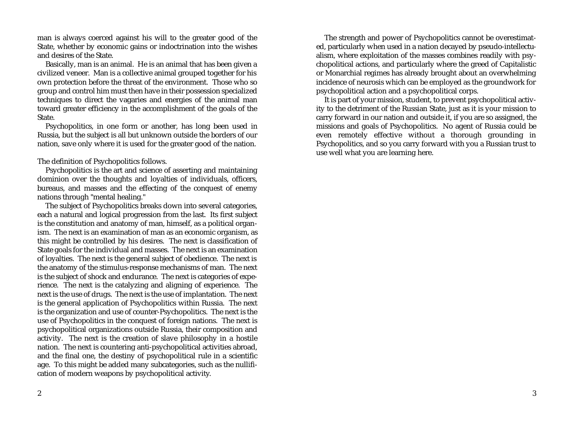man is always coerced against his will to the greater good of the State, whether by economic gains or indoctrination into the wishes and desires of the State.

Basically, man is an animal. He is an animal that has been given a civilized veneer. Man is a collective animal grouped together for his own protection before the threat of the environment. Those who so group and control him must then have in their possession specialized techniques to direct the vagaries and energies of the animal man toward greater efficiency in the accomplishment of the goals of the State.

Psychopolitics, in one form or another, has long been used in Russia, but the subject is all but unknown outside the borders of our nation, save only where it is used for the greater good of the nation.

The definition of Psychopolitics follows.

Psychopolitics is the art and science of asserting and maintaining dominion over the thoughts and loyalties of individuals, officers, bureaus, and masses and the effecting of the conquest of enemy nations through "mental healing."

The subject of Psychopolitics breaks down into several categories, each a natural and logical progression from the last. Its first subject is the constitution and anatomy of man, himself, as a political organism. The next is an examination of man as an economic organism, as this might be controlled by his desires. The next is classification of State goals for the individual and masses. The next is an examination of loyalties. The next is the general subject of obedience. The next is the anatomy of the stimulus-response mechanisms of man. The next is the subject of shock and endurance. The next is categories of experience. The next is the catalyzing and aligning of experience. The next is the use of drugs. The next is the use of implantation. The next is the general application of Psychopolitics within Russia. The next is the organization and use of counter-Psychopolitics. The next is the use of Psychopolitics in the conquest of foreign nations. The next is psychopolitical organizations outside Russia, their composition and activity. The next is the creation of slave philosophy in a hostile nation. The next is countering anti-psychopolitical activities abroad, and the final one, the destiny of psychopolitical rule in a scientific age. To this might be added many subcategories, such as the nullification of modern weapons by psychopolitical activity.

The strength and power of Psychopolitics cannot be overestimated, particularly when used in a nation decayed by pseudo-intellectualism, where exploitation of the masses combines readily with psychopolitical actions, and particularly where the greed of Capitalistic or Monarchial regimes has already brought about an overwhelming incidence of neurosis which can be employed as the groundwork for psychopolitical action and a psychopolitical corps.

It is part of your mission, student, to prevent psychopolitical activity to the detriment of the Russian State, just as it is your mission to carry forward in our nation and outside it, if you are so assigned, the missions and goals of Psychopolitics. No agent of Russia could be even remotely effective without a thorough grounding in Psychopolitics, and so you carry forward with you a Russian trust to use well what you are learning here.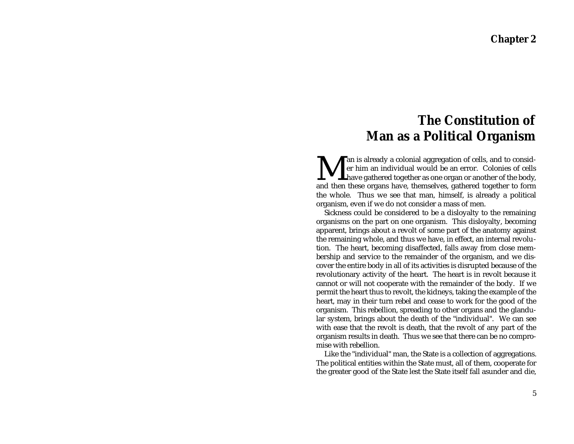## **The Constitution of Man as a Political Organism**

Man is already a colonial aggregation of cells, and to consider the him an individual would be an error. Colonies of cells have gathered together as one organ or another of the body, and then these organs have, themselves, an is already a colonial aggregation of cells, and to consider him an individual would be an error. Colonies of cells  $\mathbf{\Sigma}$  have gathered together as one organ or another of the body, the whole. Thus we see that man, himself, is already a political organism, even if we do not consider a mass of men.

Sickness could be considered to be a disloyalty to the remaining organisms on the part on one organism. This disloyalty, becoming apparent, brings about a revolt of some part of the anatomy against the remaining whole, and thus we have, in effect, an internal revolution. The heart, becoming disaffected, falls away from close membership and service to the remainder of the organism, and we discover the entire body in all of its activities is disrupted because of the revolutionary activity of the heart. The heart is in revolt because it cannot or will not cooperate with the remainder of the body. If we permit the heart thus to revolt, the kidneys, taking the example of the heart, may in their turn rebel and cease to work for the good of the organism. This rebellion, spreading to other organs and the glandular system, brings about the death of the "individual". We can see with ease that the revolt is death, that the revolt of any part of the organism results in death. Thus we see that there can be no compromise with rebellion.

Like the "individual" man, the State is a collection of aggregations. The political entities within the State must, all of them, cooperate for the greater good of the State lest the State itself fall asunder and die,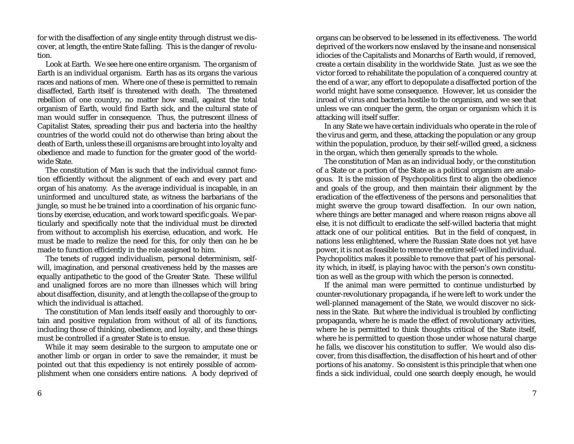for with the disaffection of any single entity through distrust we discover, at length, the entire State falling. This is the danger of revolution.

Look at Earth. We see here one entire organism. The organism of Earth is an individual organism. Earth has as its organs the various races and nations of men. Where one of these is permitted to remain disaffected, Earth itself is threatened with death. The threatened rebellion of one country, no matter how small, against the total organism of Earth, would find Earth sick, and the cultural state of man would suffer in consequence. Thus, the putrescent illness of Capitalist States, spreading their pus and bacteria into the healthy countries of the world could not do otherwise than bring about the death of Earth, unless these ill organisms are brought into loyalty and obedience and made to function for the greater good of the worldwide State.

The constitution of Man is such that the individual cannot function efficiently without the alignment of each and every part and organ of his anatomy. As the average individual is incapable, in an uninformed and uncultured state, as witness the barbarians of the jungle, so must he be trained into a coordination of his organic functions by exercise, education, and work toward specific goals. We particularly and specifically note that the individual must be directed from without to accomplish his exercise, education, and work. He must be made to realize the need for this, for only then can he be made to function efficiently in the role assigned to him.

The tenets of rugged individualism, personal determinism, selfwill, imagination, and personal creativeness held by the masses are equally antipathetic to the good of the Greater State. These willful and unaligned forces are no more than illnesses which will bring about disaffection, disunity, and at length the collapse of the group to which the individual is attached.

The constitution of Man lends itself easily and thoroughly to certain and positive regulation from without of all of its functions, including those of thinking, obedience, and loyalty, and these things must be controlled if a greater State is to ensue.

While it may seem desirable to the surgeon to amputate one or another limb or organ in order to save the remainder, it must be pointed out that this expediency is not entirely possible of accomplishment when one considers entire nations. A body deprived of organs can be observed to be lessened in its effectiveness. The world deprived of the workers now enslaved by the insane and nonsensical idiocies of the Capitalists and Monarchs of Earth would, if removed, create a certain disability in the worldwide State. Just as we see the victor forced to rehabilitate the population of a conquered country at the end of a war, any effort to depopulate a disaffected portion of the world might have some consequence. However, let us consider the inroad of virus and bacteria hostile to the organism, and we see that unless we can conquer the germ, the organ or organism which it is attacking will itself suffer.

In any State we have certain individuals who operate in the role of the virus and germ, and these, attacking the population or any group within the population, produce, by their self-willed greed, a sickness in the organ, which then generally spreads to the whole.

The constitution of Man as an individual body, or the constitution of a State or a portion of the State as a political organism are analogous. It is the mission of Psychopolitics first to align the obedience and goals of the group, and then maintain their alignment by the eradication of the effectiveness of the persons and personalities that might swerve the group toward disaffection. In our own nation, where things are better managed and where reason reigns above all else, it is not difficult to eradicate the self-willed bacteria that might attack one of our political entities. But in the field of conquest, in nations less enlightened, where the Russian State does not yet have power, it is not as feasible to remove the entire self-willed individual. Psychopolitics makes it possible to remove that part of his personality which, in itself, is playing havoc with the person's own constitution as well as the group with which the person is connected.

If the animal man were permitted to continue undisturbed by counter-revolutionary propaganda, if he were left to work under the well-planned management of the State, we would discover no sickness in the State. But where the individual is troubled by conflicting propaganda, where he is made the effect of revolutionary activities, where he is permitted to think thoughts critical of the State itself, where he is permitted to question those under whose natural charge he falls, we discover his constitution to suffer. We would also discover, from this disaffection, the disaffection of his heart and of other portions of his anatomy. So consistent is this principle that when one finds a sick individual, could one search deeply enough, he would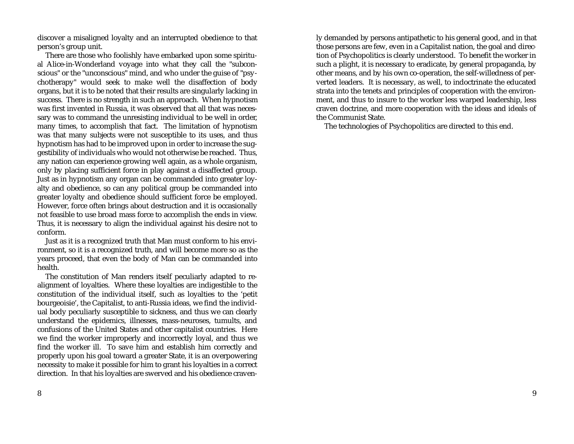discover a misaligned loyalty and an interrupted obedience to that person's group unit.

There are those who foolishly have embarked upon some spiritual Alice-in-Wonderland voyage into what they call the "subconscious" or the "unconscious" mind, and who under the guise of "psychotherapy" would seek to make well the disaffection of body organs, but it is to be noted that their results are singularly lacking in success. There is no strength in such an approach. When hypnotism was first invented in Russia, it was observed that all that was necessary was to command the unresisting individual to be well in order, many times, to accomplish that fact. The limitation of hypnotism was that many subjects were not susceptible to its uses, and thus hypnotism has had to be improved upon in order to increase the suggestibility of individuals who would not otherwise be reached. Thus, any nation can experience growing well again, as a whole organism, only by placing sufficient force in play against a disaffected group. Just as in hypnotism any organ can be commanded into greater loyalty and obedience, so can any political group be commanded into greater loyalty and obedience should sufficient force be employed. However, force often brings about destruction and it is occasionally not feasible to use broad mass force to accomplish the ends in view. Thus, it is necessary to align the individual against his desire not to conform.

Just as it is a recognized truth that Man must conform to his environment, so it is a recognized truth, and will become more so as the years proceed, that even the body of Man can be commanded into health.

The constitution of Man renders itself peculiarly adapted to realignment of loyalties. Where these loyalties are indigestible to the constitution of the individual itself, such as loyalties to the 'petit bourgeoisie', the Capitalist, to anti-Russia ideas, we find the individual body peculiarly susceptible to sickness, and thus we can clearly understand the epidemics, illnesses, mass-neuroses, tumults, and confusions of the United States and other capitalist countries. Here we find the worker improperly and incorrectly loyal, and thus we find the worker ill. To save him and establish him correctly and properly upon his goal toward a greater State, it is an overpowering necessity to make it possible for him to grant his loyalties in a correct direction. In that his loyalties are swerved and his obedience craven-

ly demanded by persons antipathetic to his general good, and in that those persons are few, even in a Capitalist nation, the goal and direction of Psychopolitics is clearly understood. To benefit the worker in such a plight, it is necessary to eradicate, by general propaganda, by other means, and by his own co-operation, the self-willedness of perverted leaders. It is necessary, as well, to indoctrinate the educated strata into the tenets and principles of cooperation with the environment, and thus to insure to the worker less warped leadership, less craven doctrine, and more cooperation with the ideas and ideals of the Communist State.

The technologies of Psychopolitics are directed to this end.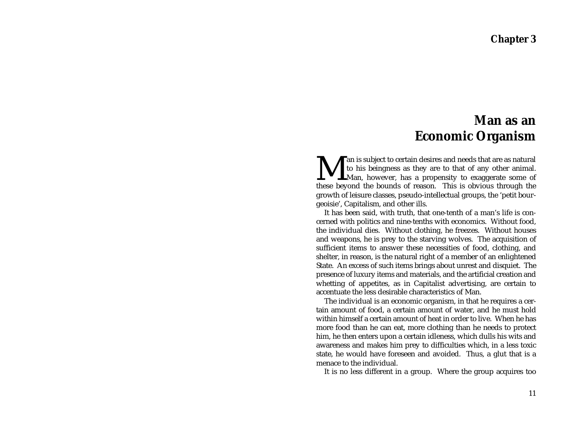#### **Chapter 3**

## **Man as an Economic Organism**

**M** an is subject to certain desires and needs that are as natural to his beingness as they are to that of any other animal.<br>These beyond the bounds of reason. This is obvious through the an is subject to certain desires and needs that are as natural to his beingness as they are to that of any other animal.  $M<sub>max</sub>$  Man, however, has a propensity to exaggerate some of growth of leisure classes, pseudo-intellectual groups, the 'petit bourgeoisie', Capitalism, and other ills.

It has been said, with truth, that one-tenth of a man's life is concerned with politics and nine-tenths with economics. Without food, the individual dies. Without clothing, he freezes. Without houses and weapons, he is prey to the starving wolves. The acquisition of sufficient items to answer these necessities of food, clothing, and shelter, in reason, is the natural right of a member of an enlightened State. An excess of such items brings about unrest and disquiet. The presence of luxury items and materials, and the artificial creation and whetting of appetites, as in Capitalist advertising, are certain to accentuate the less desirable characteristics of Man.

The individual is an economic organism, in that he requires a certain amount of food, a certain amount of water, and he must hold within himself a certain amount of heat in order to live. When he has more food than he can eat, more clothing than he needs to protect him, he then enters upon a certain idleness, which dulls his wits and awareness and makes him prey to difficulties which, in a less toxic state, he would have foreseen and avoided. Thus, a glut that is a menace to the individual.

It is no less different in a group. Where the group acquires too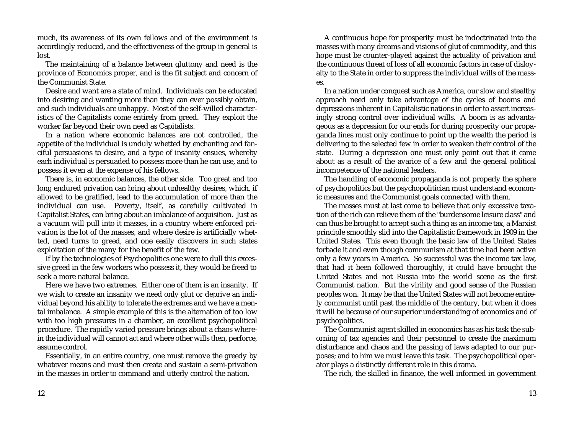much, its awareness of its own fellows and of the environment is accordingly reduced, and the effectiveness of the group in general is lost.

The maintaining of a balance between gluttony and need is the province of Economics proper, and is the fit subject and concern of the Communist State.

Desire and want are a state of mind. Individuals can be educated into desiring and wanting more than they can ever possibly obtain, and such individuals are unhappy. Most of the self-willed characteristics of the Capitalists come entirely from greed. They exploit the worker far beyond their own need as Capitalists.

In a nation where economic balances are not controlled, the appetite of the individual is unduly whetted by enchanting and fanciful persuasions to desire, and a type of insanity ensues, whereby each individual is persuaded to possess more than he can use, and to possess it even at the expense of his fellows.

There is, in economic balances, the other side. Too great and too long endured privation can bring about unhealthy desires, which, if allowed to be gratified, lead to the accumulation of more than the individual can use. Poverty, itself, as carefully cultivated in Capitalist States, can bring about an imbalance of acquisition. Just as a vacuum will pull into it masses, in a country where enforced privation is the lot of the masses, and where desire is artificially whetted, need turns to greed, and one easily discovers in such states exploitation of the many for the benefit of the few.

If by the technologies of Psychopolitics one were to dull this excessive greed in the few workers who possess it, they would be freed to seek a more natural balance.

Here we have two extremes. Either one of them is an insanity. If we wish to create an insanity we need only glut or deprive an individual beyond his ability to tolerate the extremes and we have a mental imbalance. A simple example of this is the alternation of too low with too high pressures in a chamber, an excellent psychopolitical procedure. The rapidly varied pressure brings about a chaos wherein the individual will cannot act and where other wills then, perforce, assume control.

Essentially, in an entire country, one must remove the greedy by whatever means and must then create and sustain a semi-privation in the masses in order to command and utterly control the nation.

A continuous hope for prosperity must be indoctrinated into the masses with many dreams and visions of glut of commodity, and this hope must be counter-played against the actuality of privation and the continuous threat of loss of all economic factors in case of disloyalty to the State in order to suppress the individual wills of the masses.

In a nation under conquest such as America, our slow and stealthy approach need only take advantage of the cycles of booms and depressions inherent in Capitalistic nations in order to assert increasingly strong control over individual wills. A boom is as advantageous as a depression for our ends for during prosperity our propaganda lines must only continue to point up the wealth the period is delivering to the selected few in order to weaken their control of the state. During a depression one must only point out that it came about as a result of the avarice of a few and the general political incompetence of the national leaders.

The handling of economic propaganda is not properly the sphere of psychopolitics but the psychopolitician must understand economic measures and the Communist goals connected with them.

The masses must at last come to believe that only excessive taxation of the rich can relieve them of the "burdensome leisure class" and can thus be brought to accept such a thing as an income tax, a Marxist principle smoothly slid into the Capitalistic framework in 1909 in the United States. This even though the basic law of the United States forbade it and even though communism at that time had been active only a few years in America. So successful was the income tax law, that had it been followed thoroughly, it could have brought the United States and not Russia into the world scene as the first Communist nation. But the virility and good sense of the Russian peoples won. It may be that the United States will not become entirely communist until past the middle of the century, but when it does it will be because of our superior understanding of economics and of psychopolitics.

The Communist agent skilled in economics has as his task the suborning of tax agencies and their personnel to create the maximum disturbance and chaos and the passing of laws adapted to our purposes; and to him we must leave this task. The psychopolitical operator plays a distinctly different role in this drama.

The rich, the skilled in finance, the well informed in government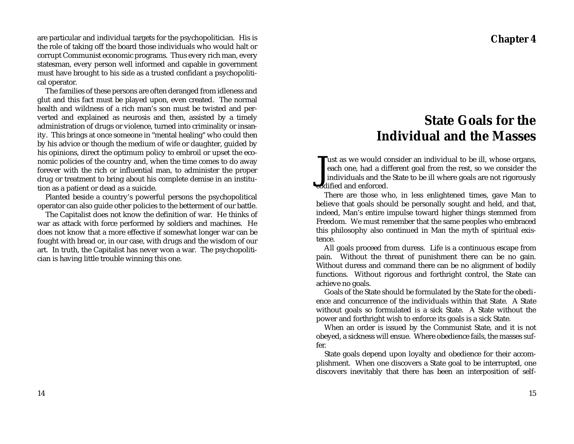**Chapter 4**

are particular and individual targets for the psychopolitician. His is the role of taking off the board those individuals who would halt or corrupt Communist economic programs. Thus every rich man, every statesman, every person well informed and capable in government must have brought to his side as a trusted confidant a psychopolitical operator.

The families of these persons are often deranged from idleness and glut and this fact must be played upon, even created. The normal health and wildness of a rich man's son must be twisted and perverted and explained as neurosis and then, assisted by a timely administration of drugs or violence, turned into criminality or insanity. This brings at once someone in "mental healing" who could then by his advice or though the medium of wife or daughter, guided by his opinions, direct the optimum policy to embroil or upset the economic policies of the country and, when the time comes to do away forever with the rich or influential man, to administer the proper drug or treatment to bring about his complete demise in an institution as a patient or dead as a suicide.

Planted beside a country's powerful persons the psychopolitical operator can also guide other policies to the betterment of our battle.

The Capitalist does not know the definition of war. He thinks of war as attack with force performed by soldiers and machines. He does not know that a more effective if somewhat longer war can be fought with bread or, in our case, with drugs and the wisdom of our art. In truth, the Capitalist has never won a war. The psychopolitician is having little trouble winning this one.

## **State Goals for the Individual and the Masses**

**J** Tust as we would consider an individual to be ill, whose organs, each one, had a different goal from the rest, so we consider the individuals and the State to be ill where goals are not rigorously codified and enforced.

There are those who, in less enlightened times, gave Man to believe that goals should be personally sought and held, and that, indeed, Man's entire impulse toward higher things stemmed from Freedom. We must remember that the same peoples who embraced this philosophy also continued in Man the myth of spiritual existence.

All goals proceed from duress. Life is a continuous escape from pain. Without the threat of punishment there can be no gain. Without duress and command there can be no alignment of bodily functions. Without rigorous and forthright control, the State can achieve no goals.

Goals of the State should be formulated by the State for the obedience and concurrence of the individuals within that State. A State without goals so formulated is a sick State. A State without the power and forthright wish to enforce its goals is a sick State.

When an order is issued by the Communist State, and it is not obeyed, a sickness will ensue. Where obedience fails, the masses suffer.

State goals depend upon loyalty and obedience for their accomplishment. When one discovers a State goal to be interrupted, one discovers inevitably that there has been an interposition of self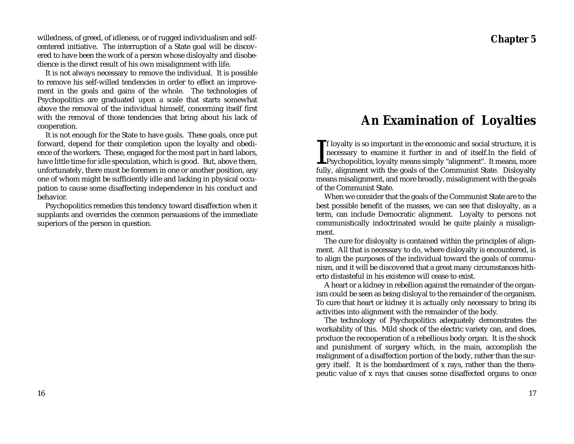willedness, of greed, of idleness, or of rugged individualism and selfcentered initiative. The interruption of a State goal will be discovered to have been the work of a person whose disloyalty and disobedience is the direct result of his own misalignment with life.

It is not always necessary to remove the individual. It is possible to remove his self-willed tendencies in order to effect an improvement in the goals and gains of the whole. The technologies of Psychopolitics are graduated upon a scale that starts somewhat above the removal of the individual himself, concerning itself first with the removal of those tendencies that bring about his lack of cooperation.

It is not enough for the State to have goals. These goals, once put forward, depend for their completion upon the loyalty and obedience of the workers. These, engaged for the most part in hard labors, have little time for idle speculation, which is good. But, above them, unfortunately, there must be foremen in one or another position, any one of whom might be sufficiently idle and lacking in physical occupation to cause some disaffecting independence in his conduct and behavior.

Psychopolitics remedies this tendency toward disaffection when it supplants and overrides the common persuasions of the immediate superiors of the person in question.

#### **Chapter 5**

#### **An Examination of Loyalties**

I **T** f loyalty is so important in the economic and social structure, it is necessary to examine it further in and of itself.In the field of Psychopolitics, loyalty means simply "alignment". It means, more fully, alignment with the goals of the Communist State. Disloyalty means misalignment, and more broadly, misalignment with the goals of the Communist State.

When we consider that the goals of the Communist State are to the best possible benefit of the masses, we can see that disloyalty, as a term, can include Democratic alignment. Loyalty to persons not communistically indoctrinated would be quite plainly a misalignment.

The cure for disloyalty is contained within the principles of alignment. All that is necessary to do, where disloyalty is encountered, is to align the purposes of the individual toward the goals of communism, and it will be discovered that a great many circumstances hitherto distasteful in his existence will cease to exist.

A heart or a kidney in rebellion against the remainder of the organism could be seen as being disloyal to the remainder of the organism. To cure that heart or kidney it is actually only necessary to bring its activities into alignment with the remainder of the body.

The technology of Psychopolitics adequately demonstrates the workability of this. Mild shock of the electric variety can, and does, produce the recooperation of a rebellious body organ. It is the shock and punishment of surgery which, in the main, accomplish the realignment of a disaffection portion of the body, rather than the surgery itself. It is the bombardment of x rays, rather than the therapeutic value of x rays that causes some disaffected organs to once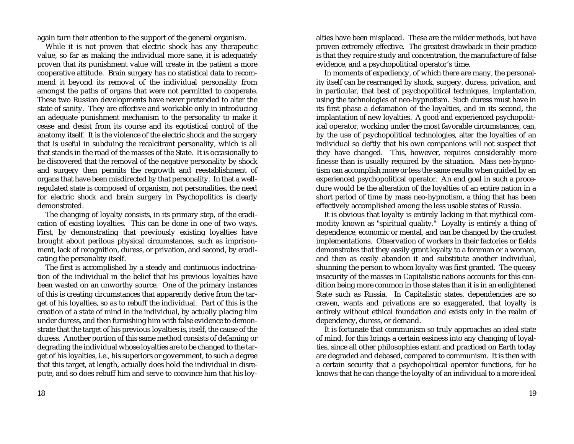again turn their attention to the support of the general organism.

While it is not proven that electric shock has any therapeutic value, so far as making the individual more sane, it is adequately proven that its punishment value will create in the patient a more cooperative attitude. Brain surgery has no statistical data to recommend it beyond its removal of the individual personality from amongst the paths of organs that were not permitted to cooperate. These two Russian developments have never pretended to alter the state of sanity. They are effective and workable only in introducing an adequate punishment mechanism to the personality to make it cease and desist from its course and its egotistical control of the anatomy itself. It is the violence of the electric shock and the surgery that is useful in subduing the recalcitrant personality, which is all that stands in the road of the masses of the State. It is occasionally to be discovered that the removal of the negative personality by shock and surgery then permits the regrowth and reestablishment of organs that have been misdirected by that personality. In that a wellregulated state is composed of organism, not personalities, the need for electric shock and brain surgery in Psychopolitics is clearly demonstrated.

The changing of loyalty consists, in its primary step, of the eradication of existing loyalties. This can be done in one of two ways. First, by demonstrating that previously existing loyalties have brought about perilous physical circumstances, such as imprisonment, lack of recognition, duress, or privation, and second, by eradicating the personality itself.

The first is accomplished by a steady and continuous indoctrination of the individual in the belief that his previous loyalties have been wasted on an unworthy source. One of the primary instances of this is creating circumstances that apparently derive from the target of his loyalties, so as to rebuff the individual. Part of this is the creation of a state of mind in the individual, by actually placing him under duress, and then furnishing him with false evidence to demonstrate that the target of his previous loyalties is, itself, the cause of the duress. Another portion of this same method consists of defaming or degrading the individual whose loyalties are to be changed to the target of his loyalties, i.e., his superiors or government, to such a degree that this target, at length, actually does hold the individual in disrepute, and so does rebuff him and serve to convince him that his loyalties have been misplaced. These are the milder methods, but have proven extremely effective. The greatest drawback in their practice is that they require study and concentration, the manufacture of false evidence, and a psychopolitical operator's time.

In moments of expediency, of which there are many, the personality itself can be rearranged by shock, surgery, duress, privation, and in particular, that best of psychopolitical techniques, implantation, using the technologies of neo-hypnotism. Such duress must have in its first phase a defamation of the loyalties, and in its second, the implantation of new loyalties. A good and experienced psychopolitical operator, working under the most favorable circumstances, can, by the use of psychopolitical technologies, alter the loyalties of an individual so deftly that his own companions will not suspect that they have changed. This, however, requires considerably more finesse than is usually required by the situation. Mass neo-hypnotism can accomplish more or less the same results when guided by an experienced psychopolitical operator. An end goal in such a procedure would be the alteration of the loyalties of an entire nation in a short period of time by mass neo-hypnotism, a thing that has been effectively accomplished among the less usable states of Russia.

It is obvious that loyalty is entirely lacking in that mythical commodity known as "spiritual quality." Loyalty is entirely a thing of dependence, economic or mental, and can be changed by the crudest implementations. Observation of workers in their factories or fields demonstrates that they easily grant loyalty to a foreman or a woman, and then as easily abandon it and substitute another individual, shunning the person to whom loyalty was first granted. The queasy insecurity of the masses in Capitalistic nations accounts for this condition being more common in those states than it is in an enlightened State such as Russia. In Capitalistic states, dependencies are so craven, wants and privations are so exaggerated, that loyalty is entirely without ethical foundation and exists only in the realm of dependency, duress, or demand.

It is fortunate that communism so truly approaches an ideal state of mind, for this brings a certain easiness into any changing of loyalties, since all other philosophies extant and practiced on Earth today are degraded and debased, compared to communism. It is then with a certain security that a psychopolitical operator functions, for he knows that he can change the loyalty of an individual to a more ideal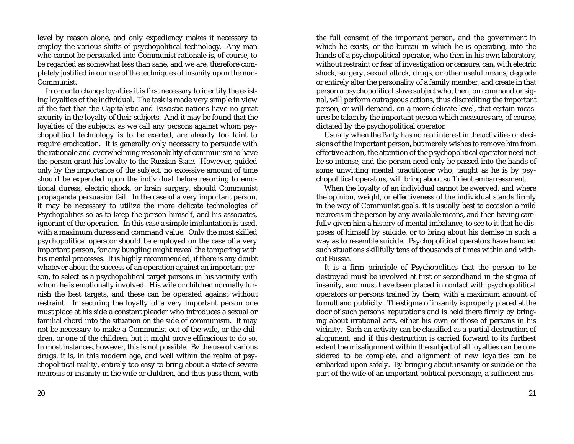level by reason alone, and only expediency makes it necessary to employ the various shifts of psychopolitical technology. Any man who cannot be persuaded into Communist rationale is, of course, to be regarded as somewhat less than sane, and we are, therefore completely justified in our use of the techniques of insanity upon the non-Communist.

In order to change loyalties it is first necessary to identify the existing loyalties of the individual. The task is made very simple in view of the fact that the Capitalistic and Fascistic nations have no great security in the loyalty of their subjects. And it may be found that the loyalties of the subjects, as we call any persons against whom psychopolitical technology is to be exerted, are already too faint to require eradication. It is generally only necessary to persuade with the rationale and overwhelming reasonability of communism to have the person grant his loyalty to the Russian State. However, guided only by the importance of the subject, no excessive amount of time should be expended upon the individual before resorting to emotional duress, electric shock, or brain surgery, should Communist propaganda persuasion fail. In the case of a very important person, it may be necessary to utilize the more delicate technologies of Psychopolitics so as to keep the person himself, and his associates, ignorant of the operation. In this case a simple implantation is used, with a maximum duress and command value. Only the most skilled psychopolitical operator should be employed on the case of a very important person, for any bungling might reveal the tampering with his mental processes. It is highly recommended, if there is any doubt whatever about the success of an operation against an important person, to select as a psychopolitical target persons in his vicinity with whom he is emotionally involved. His wife or children normally furnish the best targets, and these can be operated against without restraint. In securing the loyalty of a very important person one must place at his side a constant pleader who introduces a sexual or familial chord into the situation on the side of communism. It may not be necessary to make a Communist out of the wife, or the children, or one of the children, but it might prove efficacious to do so. In most instances, however, this is not possible. By the use of various drugs, it is, in this modern age, and well within the realm of psychopolitical reality, entirely too easy to bring about a state of severe neurosis or insanity in the wife or children, and thus pass them, with

the full consent of the important person, and the government in which he exists, or the bureau in which he is operating, into the hands of a psychopolitical operator, who then in his own laboratory, without restraint or fear of investigation or censure, can, with electric shock, surgery, sexual attack, drugs, or other useful means, degrade or entirely alter the personality of a family member, and create in that person a psychopolitical slave subject who, then, on command or signal, will perform outrageous actions, thus discrediting the important person, or will demand, on a more delicate level, that certain measures be taken by the important person which measures are, of course, dictated by the psychopolitical operator.

Usually when the Party has no real interest in the activities or decisions of the important person, but merely wishes to remove him from effective action, the attention of the psychopolitical operator need not be so intense, and the person need only be passed into the hands of some unwitting mental practitioner who, taught as he is by psychopolitical operators, will bring about sufficient embarrassment.

When the loyalty of an individual cannot be swerved, and where the opinion, weight, or effectiveness of the individual stands firmly in the way of Communist goals, it is usually best to occasion a mild neurosis in the person by any available means, and then having carefully given him a history of mental imbalance, to see to it that he disposes of himself by suicide, or to bring about his demise in such a way as to resemble suicide. Psychopolitical operators have handled such situations skillfully tens of thousands of times within and without Russia.

It is a firm principle of Psychopolitics that the person to be destroyed must be involved at first or secondhand in the stigma of insanity, and must have been placed in contact with psychopolitical operators or persons trained by them, with a maximum amount of tumult and publicity. The stigma of insanity is properly placed at the door of such persons' reputations and is held there firmly by bringing about irrational acts, either his own or those of persons in his vicinity. Such an activity can be classified as a partial destruction of alignment, and if this destruction is carried forward to its furthest extent the misalignment within the subject of all loyalties can be considered to be complete, and alignment of new loyalties can be embarked upon safely. By bringing about insanity or suicide on the part of the wife of an important political personage, a sufficient mis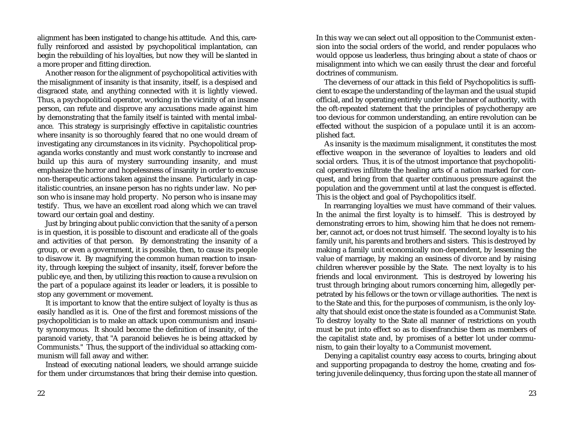alignment has been instigated to change his attitude. And this, carefully reinforced and assisted by psychopolitical implantation, can begin the rebuilding of his loyalties, but now they will be slanted in a more proper and fitting direction.

Another reason for the alignment of psychopolitical activities with the misalignment of insanity is that insanity, itself, is a despised and disgraced state, and anything connected with it is lightly viewed. Thus, a psychopolitical operator, working in the vicinity of an insane person, can refute and disprove any accusations made against him by demonstrating that the family itself is tainted with mental imbalance. This strategy is surprisingly effective in capitalistic countries where insanity is so thoroughly feared that no one would dream of investigating any circumstances in its vicinity. Psychopolitical propaganda works constantly and must work constantly to increase and build up this aura of mystery surrounding insanity, and must emphasize the horror and hopelessness of insanity in order to excuse non-therapeutic actions taken against the insane. Particularly in capitalistic countries, an insane person has no rights under law. No person who is insane may hold property. No person who is insane may testify. Thus, we have an excellent road along which we can travel toward our certain goal and destiny.

Just by bringing about public conviction that the sanity of a person is in question, it is possible to discount and eradicate all of the goals and activities of that person. By demonstrating the insanity of a group, or even a government, it is possible, then, to cause its people to disavow it. By magnifying the common human reaction to insanity, through keeping the subject of insanity, itself, forever before the public eye, and then, by utilizing this reaction to cause a revulsion on the part of a populace against its leader or leaders, it is possible to stop any government or movement.

It is important to know that the entire subject of loyalty is thus as easily handled as it is. One of the first and foremost missions of the psychopolitician is to make an attack upon communism and insanity synonymous. It should become the definition of insanity, of the paranoid variety, that "A paranoid believes he is being attacked by Communists." Thus, the support of the individual so attacking communism will fall away and wither.

Instead of executing national leaders, we should arrange suicide for them under circumstances that bring their demise into question.

In this way we can select out all opposition to the Communist extension into the social orders of the world, and render populaces who would oppose us leaderless, thus bringing about a state of chaos or misalignment into which we can easily thrust the clear and forceful doctrines of communism.

The cleverness of our attack in this field of Psychopolitics is sufficient to escape the understanding of the layman and the usual stupid official, and by operating entirely under the banner of authority, with the oft-repeated statement that the principles of psychotherapy are too devious for common understanding, an entire revolution can be effected without the suspicion of a populace until it is an accomplished fact.

As insanity is the maximum misalignment, it constitutes the most effective weapon in the severance of loyalties to leaders and old social orders. Thus, it is of the utmost importance that psychopolitical operatives infiltrate the healing arts of a nation marked for conquest, and bring from that quarter continuous pressure against the population and the government until at last the conquest is effected. This is the object and goal of Psychopolitics itself.

In rearranging loyalties we must have command of their values. In the animal the first loyalty is to himself. This is destroyed by demonstrating errors to him, showing him that he does not remember, cannot act, or does not trust himself. The second loyalty is to his family unit, his parents and brothers and sisters. This is destroyed by making a family unit economically non-dependent, by lessening the value of marriage, by making an easiness of divorce and by raising children wherever possible by the State. The next loyalty is to his friends and local environment. This is destroyed by lowering his trust through bringing about rumors concerning him, allegedly perpetrated by his fellows or the town or village authorities. The next is to the State and this, for the purposes of communism, is the only loyalty that should exist once the state is founded as a Communist State. To destroy loyalty to the State all manner of restrictions on youth must be put into effect so as to disenfranchise them as members of the capitalist state and, by promises of a better lot under communism, to gain their loyalty to a Communist movement.

Denying a capitalist country easy access to courts, bringing about and supporting propaganda to destroy the home, creating and fostering juvenile delinquency, thus forcing upon the state all manner of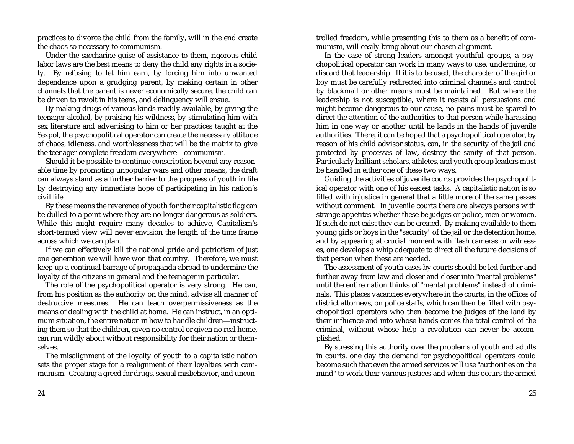practices to divorce the child from the family, will in the end create the chaos so necessary to communism.

Under the saccharine guise of assistance to them, rigorous child labor laws are the best means to deny the child any rights in a society. By refusing to let him earn, by forcing him into unwanted dependence upon a grudging parent, by making certain in other channels that the parent is never economically secure, the child can be driven to revolt in his teens, and delinquency will ensue.

By making drugs of various kinds readily available, by giving the teenager alcohol, by praising his wildness, by stimulating him with sex literature and advertising to him or her practices taught at the Sexpol, the psychopolitical operator can create the necessary attitude of chaos, idleness, and worthlessness that will be the matrix to give the teenager complete freedom everywhere—communism.

Should it be possible to continue conscription beyond any reasonable time by promoting unpopular wars and other means, the draft can always stand as a further barrier to the progress of youth in life by destroying any immediate hope of participating in his nation's civil life.

By these means the reverence of youth for their capitalistic flag can be dulled to a point where they are no longer dangerous as soldiers. While this might require many decades to achieve, Capitalism's short-termed view will never envision the length of the time frame across which we can plan.

If we can effectively kill the national pride and patriotism of just one generation we will have won that country. Therefore, we must keep up a continual barrage of propaganda abroad to undermine the loyalty of the citizens in general and the teenager in particular.

The role of the psychopolitical operator is very strong. He can, from his position as the authority on the mind, advise all manner of destructive measures. He can teach overpermissiveness as the means of dealing with the child at home. He can instruct, in an optimum situation, the entire nation in how to handle children—instructing them so that the children, given no control or given no real home, can run wildly about without responsibility for their nation or themselves.

The misalignment of the loyalty of youth to a capitalistic nation sets the proper stage for a realignment of their loyalties with communism. Creating a greed for drugs, sexual misbehavior, and uncontrolled freedom, while presenting this to them as a benefit of communism, will easily bring about our chosen alignment.

In the case of strong leaders amongst youthful groups, a psychopolitical operator can work in many ways to use, undermine, or discard that leadership. If it is to be used, the character of the girl or boy must be carefully redirected into criminal channels and control by blackmail or other means must be maintained. But where the leadership is not susceptible, where it resists all persuasions and might become dangerous to our cause, no pains must be spared to direct the attention of the authorities to that person while harassing him in one way or another until he lands in the hands of juvenile authorities. There, it can be hoped that a psychopolitical operator, by reason of his child advisor status, can, in the security of the jail and protected by processes of law, destroy the sanity of that person. Particularly brilliant scholars, athletes, and youth group leaders must be handled in either one of these two ways.

Guiding the activities of juvenile courts provides the psychopolitical operator with one of his easiest tasks. A capitalistic nation is so filled with injustice in general that a little more of the same passes without comment. In juvenile courts there are always persons with strange appetites whether these be judges or police, men or women. If such do not exist they can be created. By making available to them young girls or boys in the "security" of the jail or the detention home, and by appearing at crucial moment with flash cameras or witnesses, one develops a whip adequate to direct all the future decisions of that person when these are needed.

The assessment of youth cases by courts should be led further and further away from law and closer and closer into "mental problems" until the entire nation thinks of "mental problems" instead of criminals. This places vacancies everywhere in the courts, in the offices of district attorneys, on police staffs, which can then be filled with psychopolitical operators who then become the judges of the land by their influence and into whose hands comes the total control of the criminal, without whose help a revolution can never be accomplished.

By stressing this authority over the problems of youth and adults in courts, one day the demand for psychopolitical operators could become such that even the armed services will use "authorities on the mind" to work their various justices and when this occurs the armed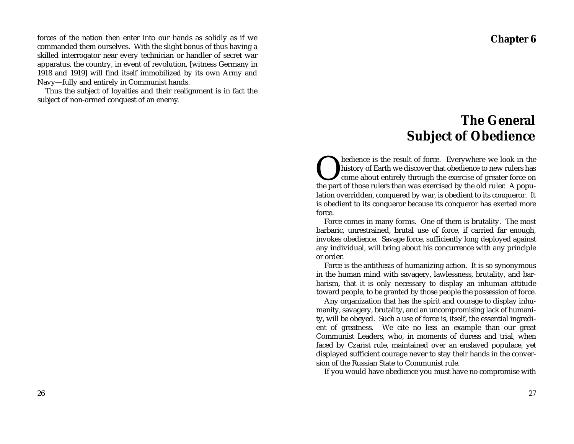forces of the nation then enter into our hands as solidly as if we commanded them ourselves. With the slight bonus of thus having a skilled interrogator near every technician or handler of secret war apparatus, the country, in event of revolution, [witness Germany in 1918 and 1919] will find itself immobilized by its own Army and Navy—fully and entirely in Communist hands.

Thus the subject of loyalties and their realignment is in fact the subject of non-armed conquest of an enemy.

**Chapter 6**

## **The General Subject of Obedience**

**O** bedience is the result of force. Everywhere we look in the history of Earth we discover that obedience to new rulers has come about entirely through the exercise of greater force on the part of those rulers than was ex bedience is the result of force. Everywhere we look in the history of Earth we discover that obedience to new rulers has come about entirely through the exercise of greater force on lation overridden, conquered by war, is obedient to its conqueror. It is obedient to its conqueror because its conqueror has exerted more force.

Force comes in many forms. One of them is brutality. The most barbaric, unrestrained, brutal use of force, if carried far enough, invokes obedience. Savage force, sufficiently long deployed against any individual, will bring about his concurrence with any principle or order.

Force is the antithesis of humanizing action. It is so synonymous in the human mind with savagery, lawlessness, brutality, and barbarism, that it is only necessary to display an inhuman attitude toward people, to be granted by those people the possession of force.

Any organization that has the spirit and courage to display inhumanity, savagery, brutality, and an uncompromising lack of humanity, will be obeyed. Such a use of force is, itself, the essential ingredient of greatness. We cite no less an example than our great Communist Leaders, who, in moments of duress and trial, when faced by Czarist rule, maintained over an enslaved populace, yet displayed sufficient courage never to stay their hands in the conversion of the Russian State to Communist rule.

If you would have obedience you must have no compromise with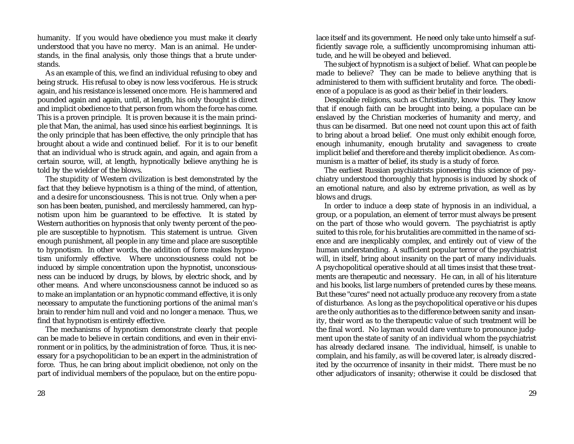humanity. If you would have obedience you must make it clearly understood that you have no mercy. Man is an animal. He understands, in the final analysis, only those things that a brute understands.

As an example of this, we find an individual refusing to obey and being struck. His refusal to obey is now less vociferous. He is struck again, and his resistance is lessened once more. He is hammered and pounded again and again, until, at length, his only thought is direct and implicit obedience to that person from whom the force has come. This is a proven principle. It is proven because it is the main principle that Man, the animal, has used since his earliest beginnings. It is the only principle that has been effective, the only principle that has brought about a wide and continued belief. For it is to our benefit that an individual who is struck again, and again, and again from a certain source, will, at length, hypnotically believe anything he is told by the wielder of the blows.

The stupidity of Western civilization is best demonstrated by the fact that they believe hypnotism is a thing of the mind, of attention, and a desire for unconsciousness. This is not true. Only when a person has been beaten, punished, and mercilessly hammered, can hypnotism upon him be guaranteed to be effective. It is stated by Western authorities on hypnosis that only twenty percent of the people are susceptible to hypnotism. This statement is untrue. Given enough punishment, all people in any time and place are susceptible to hypnotism. In other words, the addition of force makes hypnotism uniformly effective. Where unconsciousness could not be induced by simple concentration upon the hypnotist, unconsciousness can be induced by drugs, by blows, by electric shock, and by other means. And where unconsciousness cannot be induced so as to make an implantation or an hypnotic command effective, it is only necessary to amputate the functioning portions of the animal man's brain to render him null and void and no longer a menace. Thus, we find that hypnotism is entirely effective.

The mechanisms of hypnotism demonstrate clearly that people can be made to believe in certain conditions, and even in their environment or in politics, by the administration of force. Thus, it is necessary for a psychopolitician to be an expert in the administration of force. Thus, he can bring about implicit obedience, not only on the part of individual members of the populace, but on the entire populace itself and its government. He need only take unto himself a sufficiently savage role, a sufficiently uncompromising inhuman attitude, and he will be obeyed and believed.

The subject of hypnotism is a subject of belief. What can people be made to believe? They can be made to believe anything that is administered to them with sufficient brutality and force. The obedience of a populace is as good as their belief in their leaders.

Despicable religions, such as Christianity, know this. They know that if enough faith can be brought into being, a populace can be enslaved by the Christian mockeries of humanity and mercy, and thus can be disarmed. But one need not count upon this act of faith to bring about a broad belief. One must only exhibit enough force, enough inhumanity, enough brutality and savageness to create implicit belief and therefore and thereby implicit obedience. As communism is a matter of belief, its study is a study of force.

The earliest Russian psychiatrists pioneering this science of psychiatry understood thoroughly that hypnosis is induced by shock of an emotional nature, and also by extreme privation, as well as by blows and drugs.

In order to induce a deep state of hypnosis in an individual, a group, or a population, an element of terror must always be present on the part of those who would govern. The psychiatrist is aptly suited to this role, for his brutalities are committed in the name of science and are inexplicably complex, and entirely out of view of the human understanding. A sufficient popular terror of the psychiatrist will, in itself, bring about insanity on the part of many individuals. A psychopolitical operative should at all times insist that these treatments are therapeutic and necessary. He can, in all of his literature and his books, list large numbers of pretended cures by these means. But these "cures" need not actually produce any recovery from a state of disturbance. As long as the psychopolitical operative or his dupes are the only authorities as to the difference between sanity and insanity, their word as to the therapeutic value of such treatment will be the final word. No layman would dare venture to pronounce judgment upon the state of sanity of an individual whom the psychiatrist has already declared insane. The individual, himself, is unable to complain, and his family, as will be covered later, is already discredited by the occurrence of insanity in their midst. There must be no other adjudicators of insanity; otherwise it could be disclosed that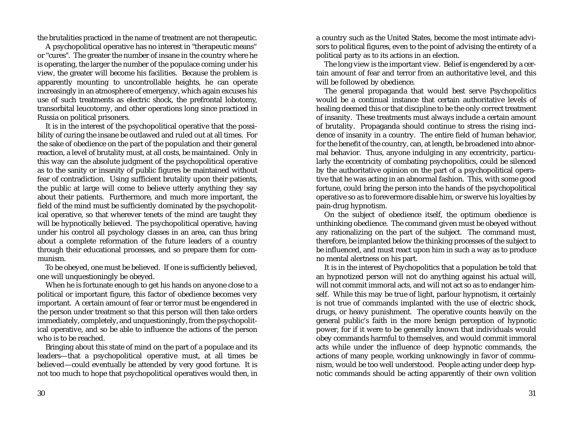the brutalities practiced in the name of treatment are not therapeutic.

A psychopolitical operative has no interest in "therapeutic means" or "cures". The greater the number of insane in the country where he is operating, the larger the number of the populace coming under his view, the greater will become his facilities. Because the problem is apparently mounting to uncontrollable heights, he can operate increasingly in an atmosphere of emergency, which again excuses his use of such treatments as electric shock, the prefrontal lobotomy, transorbital leucotomy, and other operations long since practiced in Russia on political prisoners.

It is in the interest of the psychopolitical operative that the possibility of curing the insane be outlawed and ruled out at all times. For the sake of obedience on the part of the population and their general reaction, a level of brutality must, at all costs, be maintained. Only in this way can the absolute judgment of the psychopolitical operative as to the sanity or insanity of public figures be maintained without fear of contradiction. Using sufficient brutality upon their patients, the public at large will come to believe utterly anything they say about their patients. Furthermore, and much more important, the field of the mind must be sufficiently dominated by the psychopolitical operative, so that wherever tenets of the mind are taught they will be hypnotically believed. The psychopolitical operative, having under his control all psychology classes in an area, can thus bring about a complete reformation of the future leaders of a country through their educational processes, and so prepare them for communism.

To be obeyed, one must be believed. If one is sufficiently believed, one will unquestioningly be obeyed.

When he is fortunate enough to get his hands on anyone close to a political or important figure, this factor of obedience becomes very important. A certain amount of fear or terror must be engendered in the person under treatment so that this person will then take orders immediately, completely, and unquestioningly, from the psychopolitical operative, and so be able to influence the actions of the person who is to be reached.

Bringing about this state of mind on the part of a populace and its leaders—that a psychopolitical operative must, at all times be believed—could eventually be attended by very good fortune. It is not too much to hope that psychopolitical operatives would then, in a country such as the United States, become the most intimate advisors to political figures, even to the point of advising the entirety of a political party as to its actions in an election.

The long view is the important view. Belief is engendered by a certain amount of fear and terror from an authoritative level, and this will be followed by obedience.

The general propaganda that would best serve Psychopolitics would be a continual instance that certain authoritative levels of healing deemed this or that discipline to be the only correct treatment of insanity. These treatments must always include a certain amount of brutality. Propaganda should continue to stress the rising incidence of insanity in a country. The entire field of human behavior, for the benefit of the country, can, at length, be broadened into abnormal behavior. Thus, anyone indulging in any eccentricity, particularly the eccentricity of combating psychopolitics, could be silenced by the authoritative opinion on the part of a psychopolitical operative that he was acting in an abnormal fashion. This, with some good fortune, could bring the person into the hands of the psychopolitical operative so as to forevermore disable him, or swerve his loyalties by pain-drug hypnotism.

On the subject of obedience itself, the optimum obedience is unthinking obedience. The command given must be obeyed without any rationalizing on the part of the subject. The command must, therefore, be implanted below the thinking processes of the subject to be influenced, and must react upon him in such a way as to produce no mental alertness on his part.

It is in the interest of Psychopolitics that a population be told that an hypnotized person will not do anything against his actual will, will not commit immoral acts, and will not act so as to endanger himself. While this may be true of light, parlour hypnotism, it certainly is not true of commands implanted with the use of electric shock, drugs, or heavy punishment. The operative counts heavily on the general public's faith in the more benign perception of hypnotic power, for if it were to be generally known that individuals would obey commands harmful to themselves, and would commit immoral acts while under the influence of deep hypnotic commands, the actions of many people, working unknowingly in favor of communism, would be too well understood. People acting under deep hypnotic commands should be acting apparently of their own volition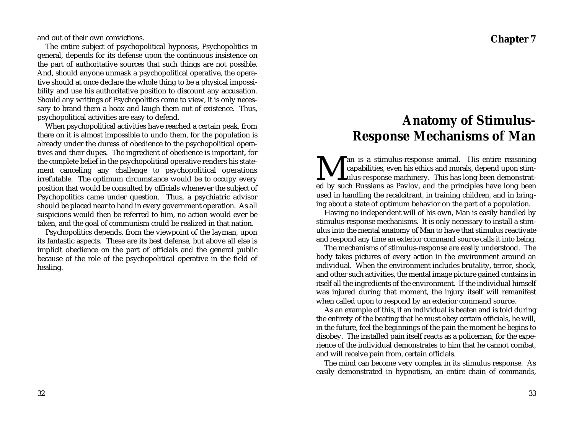and out of their own convictions.

The entire subject of psychopolitical hypnosis, Psychopolitics in general, depends for its defense upon the continuous insistence on the part of authoritative sources that such things are not possible. And, should anyone unmask a psychopolitical operative, the operative should at once declare the whole thing to be a physical impossibility and use his authoritative position to discount any accusation. Should any writings of Psychopolitics come to view, it is only necessary to brand them a hoax and laugh them out of existence. Thus, psychopolitical activities are easy to defend.

When psychopolitical activities have reached a certain peak, from there on it is almost impossible to undo them, for the population is already under the duress of obedience to the psychopolitical operatives and their dupes. The ingredient of obedience is important, for the complete belief in the psychopolitical operative renders his statement canceling any challenge to psychopolitical operations irrefutable. The optimum circumstance would be to occupy every position that would be consulted by officials whenever the subject of Psychopolitics came under question. Thus, a psychiatric advisor should be placed near to hand in every government operation. As all suspicions would then be referred to him, no action would ever be taken, and the goal of communism could be realized in that nation.

Psychopolitics depends, from the viewpoint of the layman, upon its fantastic aspects. These are its best defense, but above all else is implicit obedience on the part of officials and the general public because of the role of the psychopolitical operative in the field of healing.

#### **Chapter 7**

## **Anatomy of Stimulus-Response Mechanisms of Man**

**M** an is a stimulus-response animal. His entire reasoning capabilities, even his ethics and morals, depend upon stimed by such Russians as Pavlov, and the principles have long been an is a stimulus-response animal. His entire reasoning capabilities, even his ethics and morals, depend upon stim- $\blacktriangledown$  **L**ulus-response machinery. This has long been demonstratused in handling the recalcitrant, in training children, and in bringing about a state of optimum behavior on the part of a population.

Having no independent will of his own, Man is easily handled by stimulus-response mechanisms. It is only necessary to install a stimulus into the mental anatomy of Man to have that stimulus reactivate and respond any time an exterior command source calls it into being.

The mechanisms of stimulus-response are easily understood. The body takes pictures of every action in the environment around an individual. When the environment includes brutality, terror, shock, and other such activities, the mental image picture gained contains in itself all the ingredients of the environment. If the individual himself was injured during that moment, the injury itself will remanifest when called upon to respond by an exterior command source.

As an example of this, if an individual is beaten and is told during the entirety of the beating that he must obey certain officials, he will, in the future, feel the beginnings of the pain the moment he begins to disobey. The installed pain itself reacts as a policeman, for the experience of the individual demonstrates to him that he cannot combat, and will receive pain from, certain officials.

The mind can become very complex in its stimulus response. As easily demonstrated in hypnotism, an entire chain of commands,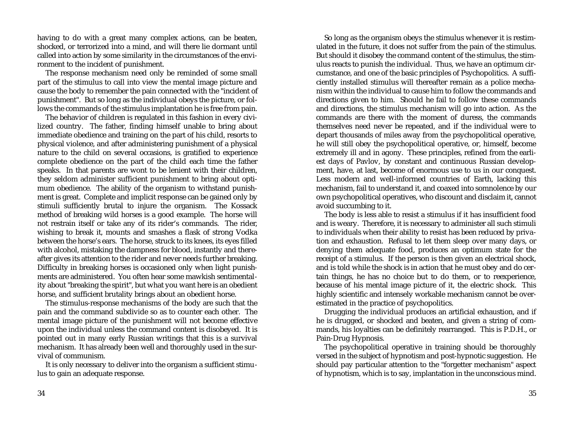having to do with a great many complex actions, can be beaten, shocked, or terrorized into a mind, and will there lie dormant until called into action by some similarity in the circumstances of the environment to the incident of punishment.

The response mechanism need only be reminded of some small part of the stimulus to call into view the mental image picture and cause the body to remember the pain connected with the "incident of punishment". But so long as the individual obeys the picture, or follows the commands of the stimulus implantation he is free from pain.

The behavior of children is regulated in this fashion in every civilized country. The father, finding himself unable to bring about immediate obedience and training on the part of his child, resorts to physical violence, and after administering punishment of a physical nature to the child on several occasions, is gratified to experience complete obedience on the part of the child each time the father speaks. In that parents are wont to be lenient with their children, they seldom administer sufficient punishment to bring about optimum obedience. The ability of the organism to withstand punishment is great. Complete and implicit response can be gained only by stimuli sufficiently brutal to injure the organism. The Kossack method of breaking wild horses is a good example. The horse will not restrain itself or take any of its rider's commands. The rider, wishing to break it, mounts and smashes a flask of strong Vodka between the horse's ears. The horse, struck to its knees, its eyes filled with alcohol, mistaking the dampness for blood, instantly and thereafter gives its attention to the rider and never needs further breaking. Difficulty in breaking horses is occasioned only when light punishments are administered. You often hear some mawkish sentimentality about "breaking the spirit", but what you want here is an obedient horse, and sufficient brutality brings about an obedient horse.

The stimulus-response mechanisms of the body are such that the pain and the command subdivide so as to counter each other. The mental image picture of the punishment will not become effective upon the individual unless the command content is disobeyed. It is pointed out in many early Russian writings that this is a survival mechanism. It has already been well and thoroughly used in the survival of communism.

It is only necessary to deliver into the organism a sufficient stimulus to gain an adequate response.

So long as the organism obeys the stimulus whenever it is restimulated in the future, it does not suffer from the pain of the stimulus. But should it disobey the command content of the stimulus, the stimulus reacts to punish the individual. Thus, we have an optimum circumstance, and one of the basic principles of Psychopolitics. A sufficiently installed stimulus will thereafter remain as a police mechanism within the individual to cause him to follow the commands and directions given to him. Should he fail to follow these commands and directions, the stimulus mechanism will go into action. As the commands are there with the moment of duress, the commands themselves need never be repeated, and if the individual were to depart thousands of miles away from the psychopolitical operative, he will still obey the psychopolitical operative, or, himself, become extremely ill and in agony. These principles, refined from the earliest days of Pavlov, by constant and continuous Russian development, have, at last, become of enormous use to us in our conquest. Less modern and well-informed countries of Earth, lacking this mechanism, fail to understand it, and coaxed into somnolence by our own psychopolitical operatives, who discount and disclaim it, cannot avoid succumbing to it.

The body is less able to resist a stimulus if it has insufficient food and is weary. Therefore, it is necessary to administer all such stimuli to individuals when their ability to resist has been reduced by privation and exhaustion. Refusal to let them sleep over many days, or denying them adequate food, produces an optimum state for the receipt of a stimulus. If the person is then given an electrical shock, and is told while the shock is in action that he must obey and do certain things, he has no choice but to do them, or to reexperience, because of his mental image picture of it, the electric shock. This highly scientific and intensely workable mechanism cannot be overestimated in the practice of psychopolitics.

Drugging the individual produces an artificial exhaustion, and if he is drugged, or shocked and beaten, and given a string of commands, his loyalties can be definitely rearranged. This is P.D.H., or Pain-Drug Hypnosis.

The psychopolitical operative in training should be thoroughly versed in the subject of hypnotism and post-hypnotic suggestion. He should pay particular attention to the "forgetter mechanism" aspect of hypnotism, which is to say, implantation in the unconscious mind.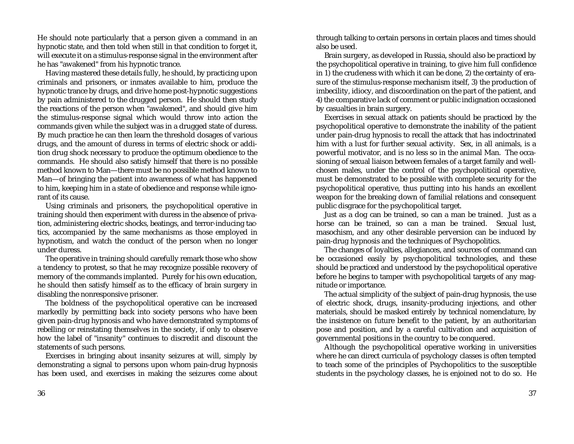He should note particularly that a person given a command in an hypnotic state, and then told when still in that condition to forget it, will execute it on a stimulus-response signal in the environment after he has "awakened" from his hypnotic trance.

Having mastered these details fully, he should, by practicing upon criminals and prisoners, or inmates available to him, produce the hypnotic trance by drugs, and drive home post-hypnotic suggestions by pain administered to the drugged person. He should then study the reactions of the person when "awakened", and should give him the stimulus-response signal which would throw into action the commands given while the subject was in a drugged state of duress. By much practice he can then learn the threshold dosages of various drugs, and the amount of duress in terms of electric shock or addition drug shock necessary to produce the optimum obedience to the commands. He should also satisfy himself that there is no possible method known to Man—there must be no possible method known to Man—of bringing the patient into awareness of what has happened to him, keeping him in a state of obedience and response while ignorant of its cause.

Using criminals and prisoners, the psychopolitical operative in training should then experiment with duress in the absence of privation, administering electric shocks, beatings, and terror-inducing tactics, accompanied by the same mechanisms as those employed in hypnotism, and watch the conduct of the person when no longer under duress.

The operative in training should carefully remark those who show a tendency to protest, so that he may recognize possible recovery of memory of the commands implanted. Purely for his own education, he should then satisfy himself as to the efficacy of brain surgery in disabling the nonresponsive prisoner.

The boldness of the psychopolitical operative can be increased markedly by permitting back into society persons who have been given pain-drug hypnosis and who have demonstrated symptoms of rebelling or reinstating themselves in the society, if only to observe how the label of "insanity" continues to discredit and discount the statements of such persons.

Exercises in bringing about insanity seizures at will, simply by demonstrating a signal to persons upon whom pain-drug hypnosis has been used, and exercises in making the seizures come about through talking to certain persons in certain places and times should also be used.

Brain surgery, as developed in Russia, should also be practiced by the psychopolitical operative in training, to give him full confidence in 1) the crudeness with which it can be done, 2) the certainty of erasure of the stimulus-response mechanism itself, 3) the production of imbecility, idiocy, and discoordination on the part of the patient, and 4) the comparative lack of comment or public indignation occasioned by casualties in brain surgery.

Exercises in sexual attack on patients should be practiced by the psychopolitical operative to demonstrate the inability of the patient under pain-drug hypnosis to recall the attack that has indoctrinated him with a lust for further sexual activity. Sex, in all animals, is a powerful motivator, and is no less so in the animal Man. The occasioning of sexual liaison between females of a target family and wellchosen males, under the control of the psychopolitical operative, must be demonstrated to be possible with complete security for the psychopolitical operative, thus putting into his hands an excellent weapon for the breaking down of familial relations and consequent public disgrace for the psychopolitical target.

Just as a dog can be trained, so can a man be trained. Just as a horse can be trained, so can a man be trained. Sexual lust, masochism, and any other desirable perversion can be induced by pain-drug hypnosis and the techniques of Psychopolitics.

The changes of loyalties, allegiances, and sources of command can be occasioned easily by psychopolitical technologies, and these should be practiced and understood by the psychopolitical operative before he begins to tamper with psychopolitical targets of any magnitude or importance.

The actual simplicity of the subject of pain-drug hypnosis, the use of electric shock, drugs, insanity-producing injections, and other materials, should be masked entirely by technical nomenclature, by the insistence on future benefit to the patient, by an authoritarian pose and position, and by a careful cultivation and acquisition of governmental positions in the country to be conquered.

Although the psychopolitical operative working in universities where he can direct curricula of psychology classes is often tempted to teach some of the principles of Psychopolitics to the susceptible students in the psychology classes, he is enjoined not to do so. He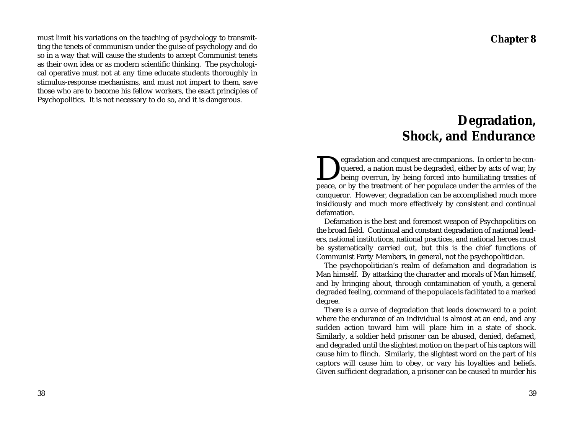must limit his variations on the teaching of psychology to transmitting the tenets of communism under the guise of psychology and do so in a way that will cause the students to accept Communist tenets as their own idea or as modern scientific thinking. The psychological operative must not at any time educate students thoroughly in stimulus-response mechanisms, and must not impart to them, save those who are to become his fellow workers, the exact principles of Psychopolitics. It is not necessary to do so, and it is dangerous.

## **Degradation, Shock, and Endurance**

**Example 3** egradation and conquest are companions. In order to be conquered, a nation must be degraded, either by acts of war, by being overrun, by being forced into humiliating treaties of peace, or by the treatment of h egradation and conquest are companions. In order to be conquered, a nation must be degraded, either by acts of war, by being overrun, by being forced into humiliating treaties of conqueror. However, degradation can be accomplished much more insidiously and much more effectively by consistent and continual defamation.

Defamation is the best and foremost weapon of Psychopolitics on the broad field. Continual and constant degradation of national leaders, national institutions, national practices, and national heroes must be systematically carried out, but this is the chief functions of Communist Party Members, in general, not the psychopolitician.

The psychopolitician's realm of defamation and degradation is Man himself. By attacking the character and morals of Man himself, and by bringing about, through contamination of youth, a general degraded feeling, command of the populace is facilitated to a marked degree.

There is a curve of degradation that leads downward to a point where the endurance of an individual is almost at an end, and any sudden action toward him will place him in a state of shock. Similarly, a soldier held prisoner can be abused, denied, defamed, and degraded until the slightest motion on the part of his captors will cause him to flinch. Similarly, the slightest word on the part of his captors will cause him to obey, or vary his loyalties and beliefs. Given sufficient degradation, a prisoner can be caused to murder his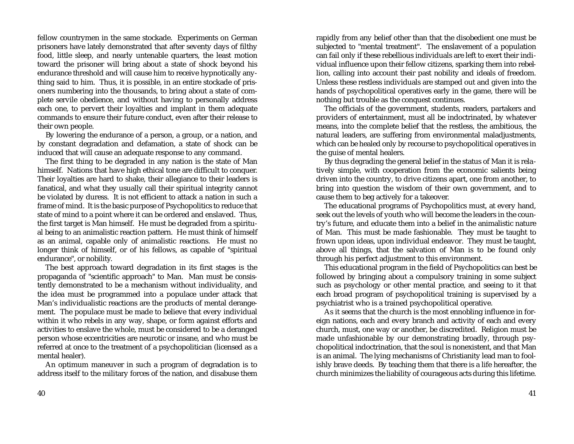fellow countrymen in the same stockade. Experiments on German prisoners have lately demonstrated that after seventy days of filthy food, little sleep, and nearly untenable quarters, the least motion toward the prisoner will bring about a state of shock beyond his endurance threshold and will cause him to receive hypnotically anything said to him. Thus, it is possible, in an entire stockade of prisoners numbering into the thousands, to bring about a state of complete servile obedience, and without having to personally address each one, to pervert their loyalties and implant in them adequate commands to ensure their future conduct, even after their release to their own people.

By lowering the endurance of a person, a group, or a nation, and by constant degradation and defamation, a state of shock can be induced that will cause an adequate response to any command.

The first thing to be degraded in any nation is the state of Man himself. Nations that have high ethical tone are difficult to conquer. Their loyalties are hard to shake, their allegiance to their leaders is fanatical, and what they usually call their spiritual integrity cannot be violated by duress. It is not efficient to attack a nation in such a frame of mind. It is the basic purpose of Psychopolitics to reduce that state of mind to a point where it can be ordered and enslaved. Thus, the first target is Man himself. He must be degraded from a spiritual being to an animalistic reaction pattern. He must think of himself as an animal, capable only of animalistic reactions. He must no longer think of himself, or of his fellows, as capable of "spiritual endurance", or nobility.

The best approach toward degradation in its first stages is the propaganda of "scientific approach" to Man. Man must be consistently demonstrated to be a mechanism without individuality, and the idea must be programmed into a populace under attack that Man's individualistic reactions are the products of mental derangement. The populace must be made to believe that every individual within it who rebels in any way, shape, or form against efforts and activities to enslave the whole, must be considered to be a deranged person whose eccentricities are neurotic or insane, and who must be referred at once to the treatment of a psychopolitician (licensed as a mental healer).

An optimum maneuver in such a program of degradation is to address itself to the military forces of the nation, and disabuse them rapidly from any belief other than that the disobedient one must be subjected to "mental treatment". The enslavement of a population can fail only if these rebellious individuals are left to exert their individual influence upon their fellow citizens, sparking them into rebellion, calling into account their past nobility and ideals of freedom. Unless these restless individuals are stamped out and given into the hands of psychopolitical operatives early in the game, there will be nothing but trouble as the conquest continues.

The officials of the government, students, readers, partakers and providers of entertainment, must all be indoctrinated, by whatever means, into the complete belief that the restless, the ambitious, the natural leaders, are suffering from environmental maladjustments, which can be healed only by recourse to psychopolitical operatives in the guise of mental healers.

By thus degrading the general belief in the status of Man it is relatively simple, with cooperation from the economic salients being driven into the country, to drive citizens apart, one from another, to bring into question the wisdom of their own government, and to cause them to beg actively for a takeover.

The educational programs of Psychopolitics must, at every hand, seek out the levels of youth who will become the leaders in the country's future, and educate them into a belief in the animalistic nature of Man. This must be made fashionable. They must be taught to frown upon ideas, upon individual endeavor. They must be taught, above all things, that the salvation of Man is to be found only through his perfect adjustment to this environment.

This educational program in the field of Psychopolitics can best be followed by bringing about a compulsory training in some subject such as psychology or other mental practice, and seeing to it that each broad program of psychopolitical training is supervised by a psychiatrist who is a trained psychopolitical operative.

As it seems that the church is the most ennobling influence in foreign nations, each and every branch and activity of each and every church, must, one way or another, be discredited. Religion must be made unfashionable by our demonstrating broadly, through psychopolitical indoctrination, that the soul is nonexistent, and that Man is an animal. The lying mechanisms of Christianity lead man to foolishly brave deeds. By teaching them that there is a life hereafter, the church minimizes the liability of courageous acts during this lifetime.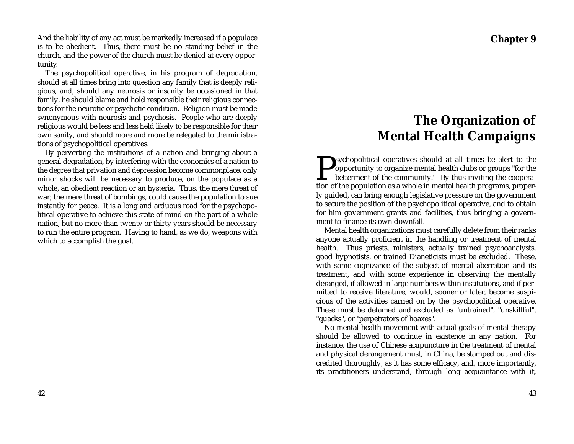And the liability of any act must be markedly increased if a populace is to be obedient. Thus, there must be no standing belief in the church, and the power of the church must be denied at every opportunity.

The psychopolitical operative, in his program of degradation, should at all times bring into question any family that is deeply religious, and, should any neurosis or insanity be occasioned in that family, he should blame and hold responsible their religious connections for the neurotic or psychotic condition. Religion must be made synonymous with neurosis and psychosis. People who are deeply religious would be less and less held likely to be responsible for their own sanity, and should more and more be relegated to the ministrations of psychopolitical operatives.

By perverting the institutions of a nation and bringing about a general degradation, by interfering with the economics of a nation to the degree that privation and depression become commonplace, only minor shocks will be necessary to produce, on the populace as a whole, an obedient reaction or an hysteria. Thus, the mere threat of war, the mere threat of bombings, could cause the population to sue instantly for peace. It is a long and arduous road for the psychopolitical operative to achieve this state of mind on the part of a whole nation, but no more than twenty or thirty years should be necessary to run the entire program. Having to hand, as we do, weapons with which to accomplish the goal.

#### **Chapter 9**

## **The Organization of Mental Health Campaigns**

Sychopolitical operatives should at all times be alert to the opportunity to organize mental health clubs or groups "for the betterment of the community." By thus inviting the cooperation of the population as a whole in me sychopolitical operatives should at all times be alert to the opportunity to organize mental health clubs or groups "for the betterment of the community." By thus inviting the cooperaly guided, can bring enough legislative pressure on the government to secure the position of the psychopolitical operative, and to obtain for him government grants and facilities, thus bringing a government to finance its own downfall.

Mental health organizations must carefully delete from their ranks anyone actually proficient in the handling or treatment of mental health. Thus priests, ministers, actually trained psychoanalysts, good hypnotists, or trained Dianeticists must be excluded. These, with some cognizance of the subject of mental aberration and its treatment, and with some experience in observing the mentally deranged, if allowed in large numbers within institutions, and if permitted to receive literature, would, sooner or later, become suspicious of the activities carried on by the psychopolitical operative. These must be defamed and excluded as "untrained", "unskillful", "quacks", or "perpetrators of hoaxes".

No mental health movement with actual goals of mental therapy should be allowed to continue in existence in any nation. For instance, the use of Chinese acupuncture in the treatment of mental and physical derangement must, in China, be stamped out and discredited thoroughly, as it has some efficacy, and, more importantly, its practitioners understand, through long acquaintance with it,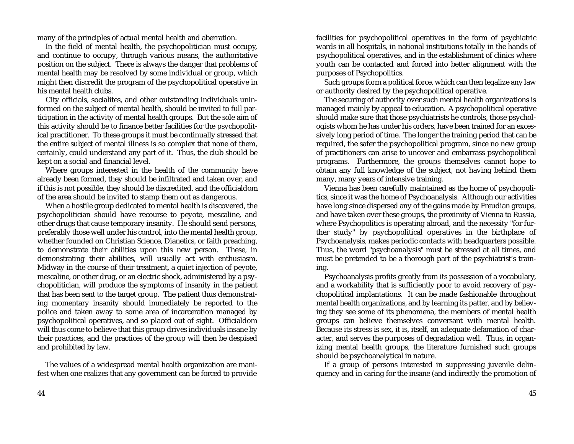many of the principles of actual mental health and aberration.

In the field of mental health, the psychopolitician must occupy, and continue to occupy, through various means, the authoritative position on the subject. There is always the danger that problems of mental health may be resolved by some individual or group, which might then discredit the program of the psychopolitical operative in his mental health clubs.

City officials, socialites, and other outstanding individuals uninformed on the subject of mental health, should be invited to full participation in the activity of mental health groups. But the sole aim of this activity should be to finance better facilities for the psychopolitical practitioner. To these groups it must be continually stressed that the entire subject of mental illness is so complex that none of them, certainly, could understand any part of it. Thus, the club should be kept on a social and financial level.

Where groups interested in the health of the community have already been formed, they should be infiltrated and taken over, and if this is not possible, they should be discredited, and the officialdom of the area should be invited to stamp them out as dangerous.

When a hostile group dedicated to mental health is discovered, the psychopolitician should have recourse to peyote, mescaline, and other drugs that cause temporary insanity. He should send persons, preferably those well under his control, into the mental health group, whether founded on Christian Science, Dianetics, or faith preaching, to demonstrate their abilities upon this new person. These, in demonstrating their abilities, will usually act with enthusiasm. Midway in the course of their treatment, a quiet injection of peyote, mescaline, or other drug, or an electric shock, administered by a psychopolitician, will produce the symptoms of insanity in the patient that has been sent to the target group. The patient thus demonstrating momentary insanity should immediately be reported to the police and taken away to some area of incarceration managed by psychopolitical operatives, and so placed out of sight. Officialdom will thus come to believe that this group drives individuals insane by their practices, and the practices of the group will then be despised and prohibited by law.

The values of a widespread mental health organization are manifest when one realizes that any government can be forced to provide facilities for psychopolitical operatives in the form of psychiatric wards in all hospitals, in national institutions totally in the hands of psychopolitical operatives, and in the establishment of clinics where youth can be contacted and forced into better alignment with the purposes of Psychopolitics.

Such groups form a political force, which can then legalize any law or authority desired by the psychopolitical operative.

The securing of authority over such mental health organizations is managed mainly by appeal to education. A psychopolitical operative should make sure that those psychiatrists he controls, those psychologists whom he has under his orders, have been trained for an excessively long period of time. The longer the training period that can be required, the safer the psychopolitical program, since no new group of practitioners can arise to uncover and embarrass psychopolitical programs. Furthermore, the groups themselves cannot hope to obtain any full knowledge of the subject, not having behind them many, many years of intensive training.

Vienna has been carefully maintained as the home of psychopolitics, since it was the home of Psychoanalysis. Although our activities have long since dispersed any of the gains made by Freudian groups, and have taken over these groups, the proximity of Vienna to Russia, where Psychopolitics is operating abroad, and the necessity "for further study" by psychopolitical operatives in the birthplace of Psychoanalysis, makes periodic contacts with headquarters possible. Thus, the word "psychoanalysis" must be stressed at all times, and must be pretended to be a thorough part of the psychiatrist's training.

Psychoanalysis profits greatly from its possession of a vocabulary, and a workability that is sufficiently poor to avoid recovery of psychopolitical implantations. It can be made fashionable throughout mental health organizations, and by learning its patter, and by believing they see some of its phenomena, the members of mental health g roups can believe themselves conversant with mental health. Because its stress is sex, it is, itself, an adequate defamation of character, and serves the purposes of degradation well. Thus, in organizing mental health groups, the literature furnished such groups should be psychoanalytical in nature.

If a group of persons interested in suppressing juvenile delinquency and in caring for the insane (and indirectly the promotion of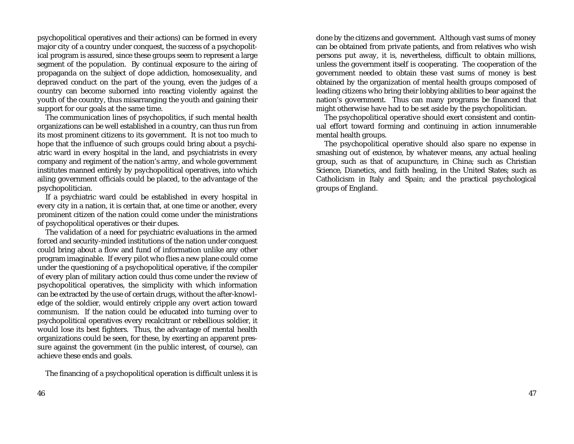psychopolitical operatives and their actions) can be formed in every major city of a country under conquest, the success of a psychopolitical program is assured, since these groups seem to represent a large segment of the population. By continual exposure to the airing of propaganda on the subject of dope addiction, homosexuality, and depraved conduct on the part of the young, even the judges of a country can become suborned into reacting violently against the youth of the country, thus misarranging the youth and gaining their support for our goals at the same time.

The communication lines of psychopolitics, if such mental health organizations can be well established in a country, can thus run from its most prominent citizens to its government. It is not too much to hope that the influence of such groups could bring about a psychiatric ward in every hospital in the land, and psychiatrists in every company and regiment of the nation's army, and whole government institutes manned entirely by psychopolitical operatives, into which ailing government officials could be placed, to the advantage of the psychopolitician.

If a psychiatric ward could be established in every hospital in every city in a nation, it is certain that, at one time or another, every prominent citizen of the nation could come under the ministrations of psychopolitical operatives or their dupes.

The validation of a need for psychiatric evaluations in the armed forced and security-minded institutions of the nation under conquest could bring about a flow and fund of information unlike any other program imaginable. If every pilot who flies a new plane could come under the questioning of a psychopolitical operative, if the compiler of every plan of military action could thus come under the review of psychopolitical operatives, the simplicity with which information can be extracted by the use of certain drugs, without the after-knowledge of the soldier, would entirely cripple any overt action toward communism. If the nation could be educated into turning over to psychopolitical operatives every recalcitrant or rebellious soldier, it would lose its best fighters. Thus, the advantage of mental health organizations could be seen, for these, by exerting an apparent pressure against the government (in the public interest, of course), can achieve these ends and goals.

The financing of a psychopolitical operation is difficult unless it is

done by the citizens and government. Although vast sums of money can be obtained from private patients, and from relatives who wish persons put away, it is, nevertheless, difficult to obtain millions, unless the government itself is cooperating. The cooperation of the government needed to obtain these vast sums of money is best obtained by the organization of mental health groups composed of leading citizens who bring their lobbying abilities to bear against the nation's government. Thus can many programs be financed that might otherwise have had to be set aside by the psychopolitician.

The psychopolitical operative should exert consistent and continual effort toward forming and continuing in action innumerable mental health groups.

The psychopolitical operative should also spare no expense in smashing out of existence, by whatever means, any actual healing group, such as that of acupuncture, in China; such as Christian Science, Dianetics, and faith healing, in the United States; such as Catholicism in Italy and Spain; and the practical psychological groups of England.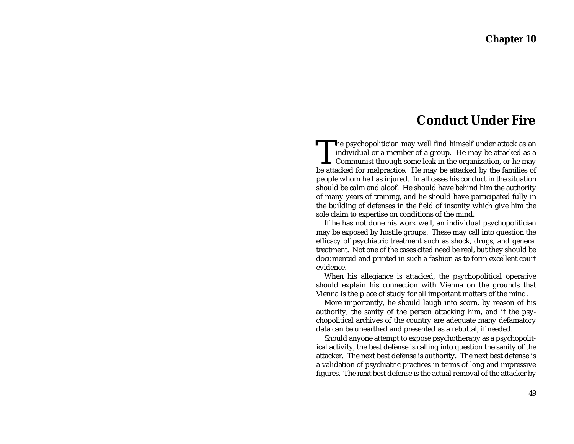#### **Conduct Under Fire**

 $\prod_{\text{be att:}}$ he psychopolitician may well find himself under attack as an individual or a member of a group. He may be attacked as a Communist through some leak in the organization, or he may be attacked for malpractice. He may be attacked by the families of people whom he has injured. In all cases his conduct in the situation should be calm and aloof. He should have behind him the authority of many years of training, and he should have participated fully in the building of defenses in the field of insanity which give him the sole claim to expertise on conditions of the mind.

If he has not done his work well, an individual psychopolitician may be exposed by hostile groups. These may call into question the efficacy of psychiatric treatment such as shock, drugs, and general treatment. Not one of the cases cited need be real, but they should be documented and printed in such a fashion as to form excellent court evidence.

When his allegiance is attacked, the psychopolitical operative should explain his connection with Vienna on the grounds that Vienna is the place of study for all important matters of the mind.

More importantly, he should laugh into scorn, by reason of his authority, the sanity of the person attacking him, and if the psychopolitical archives of the country are adequate many defamatory data can be unearthed and presented as a rebuttal, if needed.

Should anyone attempt to expose psychotherapy as a psychopolitical activity, the best defense is calling into question the sanity of the attacker. The next best defense is authority. The next best defense is a validation of psychiatric practices in terms of long and impressive figures. The next best defense is the actual removal of the attacker by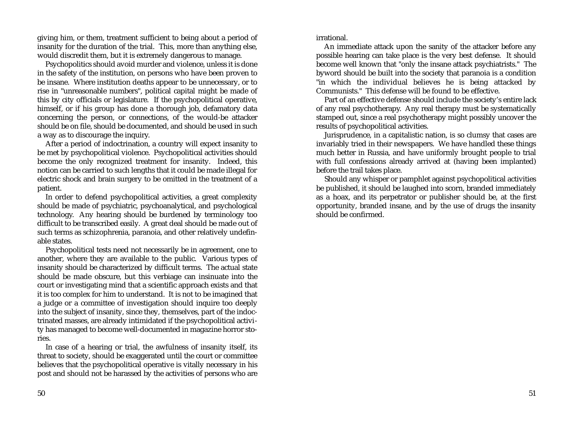giving him, or them, treatment sufficient to being about a period of insanity for the duration of the trial. This, more than anything else, would discredit them, but it is extremely dangerous to manage.

Psychopolitics should avoid murder and violence, unless it is done in the safety of the institution, on persons who have been proven to be insane. Where institution deaths appear to be unnecessary, or to rise in "unreasonable numbers", political capital might be made of this by city officials or legislature. If the psychopolitical operative, himself, or if his group has done a thorough job, defamatory data concerning the person, or connections, of the would-be attacker should be on file, should be documented, and should be used in such a way as to discourage the inquiry.

After a period of indoctrination, a country will expect insanity to be met by psychopolitical violence. Psychopolitical activities should become the only recognized treatment for insanity. Indeed, this notion can be carried to such lengths that it could be made illegal for electric shock and brain surgery to be omitted in the treatment of a patient.

In order to defend psychopolitical activities, a great complexity should be made of psychiatric, psychoanalytical, and psychological technology. Any hearing should be burdened by terminology too difficult to be transcribed easily. A great deal should be made out of such terms as schizophrenia, paranoia, and other relatively undefinable states.

Psychopolitical tests need not necessarily be in agreement, one to another, where they are available to the public. Various types of insanity should be characterized by difficult terms. The actual state should be made obscure, but this verbiage can insinuate into the court or investigating mind that a scientific approach exists and that it is too complex for him to understand. It is not to be imagined that a judge or a committee of investigation should inquire too deeply into the subject of insanity, since they, themselves, part of the indoctrinated masses, are already intimidated if the psychopolitical activity has managed to become well-documented in magazine horror stories.

In case of a hearing or trial, the awfulness of insanity itself, its threat to society, should be exaggerated until the court or committee believes that the psychopolitical operative is vitally necessary in his post and should not be harassed by the activities of persons who are irrational.

An immediate attack upon the sanity of the attacker before any possible hearing can take place is the very best defense. It should become well known that "only the insane attack psychiatrists." The byword should be built into the society that paranoia is a condition "in which the individual believes he is being attacked by Communists." This defense will be found to be effective.

Part of an effective defense should include the society's entire lack of any real psychotherapy. Any real therapy must be systematically stamped out, since a real psychotherapy might possibly uncover the results of psychopolitical activities.

Jurisprudence, in a capitalistic nation, is so clumsy that cases are invariably tried in their newspapers. We have handled these things much better in Russia, and have uniformly brought people to trial with full confessions already arrived at (having been implanted) before the trail takes place.

Should any whisper or pamphlet against psychopolitical activities be published, it should be laughed into scorn, branded immediately as a hoax, and its perpetrator or publisher should be, at the first opportunity, branded insane, and by the use of drugs the insanity should be confirmed.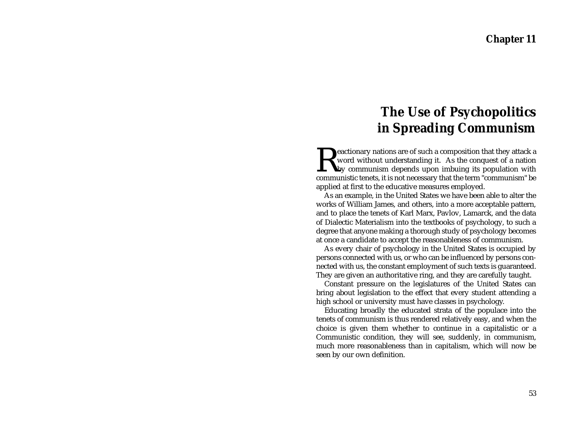## **The Use of Psychopolitics in Spreading Communism**

R eactionary nations are of such a composition that they attack a word without understanding it. As the conquest of a nation by communism depends upon imbuing its population with communistic tenets, it is not necessary that the term "communism" be applied at first to the educative measures employed.

As an example, in the United States we have been able to alter the works of William James, and others, into a more acceptable pattern, and to place the tenets of Karl Marx, Pavlov, Lamarck, and the data of Dialectic Materialism into the textbooks of psychology, to such a degree that anyone making a thorough study of psychology becomes at once a candidate to accept the reasonableness of communism.

As every chair of psychology in the United States is occupied by persons connected with us, or who can be influenced by persons connected with us, the constant employment of such texts is guaranteed. They are given an authoritative ring, and they are carefully taught.

Constant pressure on the legislatures of the United States can bring about legislation to the effect that every student attending a high school or university must have classes in psychology.

Educating broadly the educated strata of the populace into the tenets of communism is thus rendered relatively easy, and when the choice is given them whether to continue in a capitalistic or a Communistic condition, they will see, suddenly, in communism, much more reasonableness than in capitalism, which will now be seen by our own definition.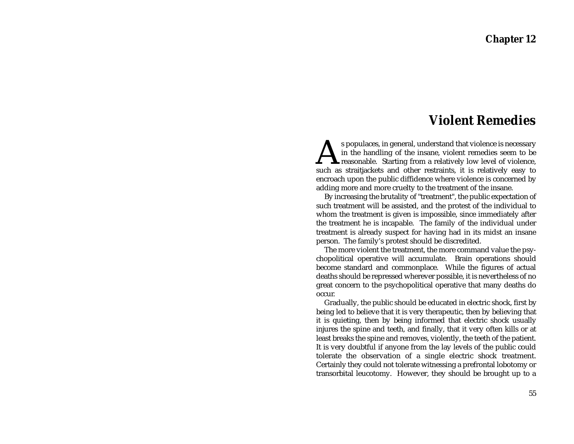#### **Violent Remedies**

s populaces, in general, understand that violence is necessary<br>in the handling of the insane, violent remedies seem to be<br>reasonable. Starting from a relatively low level of violence,<br>such as straitjackets and other restra s populaces, in general, understand that violence is necessary in the handling of the insane, violent remedies seem to be **A**reasonable. Starting from a relatively low level of violence, encroach upon the public diffidence where violence is concerned by adding more and more cruelty to the treatment of the insane.

By increasing the brutality of "treatment", the public expectation of such treatment will be assisted, and the protest of the individual to whom the treatment is given is impossible, since immediately after the treatment he is incapable. The family of the individual under treatment is already suspect for having had in its midst an insane person. The family's protest should be discredited.

The more violent the treatment, the more command value the psychopolitical operative will accumulate. Brain operations should become standard and commonplace. While the figures of actual deaths should be repressed wherever possible, it is nevertheless of no great concern to the psychopolitical operative that many deaths do occur.

Gradually, the public should be educated in electric shock, first by being led to believe that it is very therapeutic, then by believing that it is quieting, then by being informed that electric shock usually injures the spine and teeth, and finally, that it very often kills or at least breaks the spine and removes, violently, the teeth of the patient. It is very doubtful if anyone from the lay levels of the public could tolerate the observation of a single electric shock treatment. Certainly they could not tolerate witnessing a prefrontal lobotomy or transorbital leucotomy. However, they should be brought up to a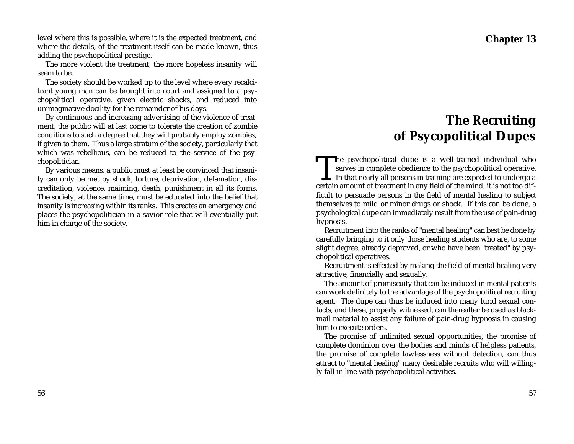level where this is possible, where it is the expected treatment, and where the details, of the treatment itself can be made known, thus adding the psychopolitical prestige.

The more violent the treatment, the more hopeless insanity will seem to be.

The society should be worked up to the level where every recalcitrant young man can be brought into court and assigned to a psychopolitical operative, given electric shocks, and reduced into unimaginative docility for the remainder of his days.

By continuous and increasing advertising of the violence of treatment, the public will at last come to tolerate the creation of zombie conditions to such a degree that they will probably employ zombies, if given to them. Thus a large stratum of the society, particularly that which was rebellious, can be reduced to the service of the psychopolitician.

By various means, a public must at least be convinced that insanity can only be met by shock, torture, deprivation, defamation, discreditation, violence, maiming, death, punishment in all its forms. The society, at the same time, must be educated into the belief that insanity is increasing within its ranks. This creates an emergency and places the psychopolitician in a savior role that will eventually put him in charge of the society.

#### **Chapter 13**

## **The Recruiting of Psycopolitical Dupes**

The psychopolitical dupe is a well-trained individual who serves in complete obedience to the psychopolitical operative.<br>In that nearly all persons in training are expected to undergo a certain amount of treatment in any f serves in complete obedience to the psychopolitical operative. In that nearly all persons in training are expected to undergo a certain amount of treatment in any field of the mind, it is not too difficult to persuade persons in the field of mental healing to subject themselves to mild or minor drugs or shock. If this can be done, a psychological dupe can immediately result from the use of pain-drug hypnosis.

Recruitment into the ranks of "mental healing" can best be done by carefully bringing to it only those healing students who are, to some slight degree, already depraved, or who have been "treated" by psychopolitical operatives.

Recruitment is effected by making the field of mental healing very attractive, financially and sexually.

The amount of promiscuity that can be induced in mental patients can work definitely to the advantage of the psychopolitical recruiting agent. The dupe can thus be induced into many lurid sexual contacts, and these, properly witnessed, can thereafter be used as blackmail material to assist any failure of pain-drug hypnosis in causing him to execute orders.

The promise of unlimited sexual opportunities, the promise of complete dominion over the bodies and minds of helpless patients, the promise of complete lawlessness without detection, can thus attract to "mental healing" many desirable recruits who will willingly fall in line with psychopolitical activities.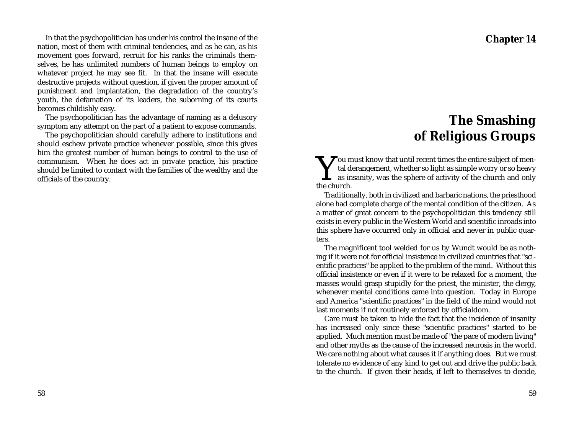**Chapter 14**

In that the psychopolitician has under his control the insane of the nation, most of them with criminal tendencies, and as he can, as his movement goes forward, recruit for his ranks the criminals themselves, he has unlimited numbers of human beings to employ on whatever project he may see fit. In that the insane will execute destructive projects without question, if given the proper amount of punishment and implantation, the degradation of the country's youth, the defamation of its leaders, the suborning of its courts becomes childishly easy.

The psychopolitician has the advantage of naming as a delusory symptom any attempt on the part of a patient to expose commands.

The psychopolitician should carefully adhere to institutions and should eschew private practice whenever possible, since this gives him the greatest number of human beings to control to the use of communism. When he does act in private practice, his practice should be limited to contact with the families of the wealthy and the officials of the country.

## **The Smashing of Religious Groups**

 $\sum_{\substack{\text{tal d}\text{at}\text{in}}}^{\text{ou m}}$  $\overline{J}$  ou must know that until recent times the entire subject of mental derangement, whether so light as simple worry or so heavy as insanity, was the sphere of activity of the church and only

Traditionally, both in civilized and barbaric nations, the priesthood alone had complete charge of the mental condition of the citizen. As a matter of great concern to the psychopolitician this tendency still exists in every public in the Western World and scientific inroads into this sphere have occurred only in official and never in public quarters.

The magnificent tool welded for us by Wundt would be as nothing if it were not for official insistence in civilized countries that "scientific practices" be applied to the problem of the mind. Without this official insistence or even if it were to be relaxed for a moment, the masses would grasp stupidly for the priest, the minister, the clergy, whenever mental conditions came into question. Today in Europe and America "scientific practices" in the field of the mind would not last moments if not routinely enforced by officialdom.

Care must be taken to hide the fact that the incidence of insanity has increased only since these "scientific practices" started to be applied. Much mention must be made of "the pace of modern living" and other myths as the cause of the increased neurosis in the world. We care nothing about what causes it if anything does. But we must tolerate no evidence of any kind to get out and drive the public back to the church. If given their heads, if left to themselves to decide,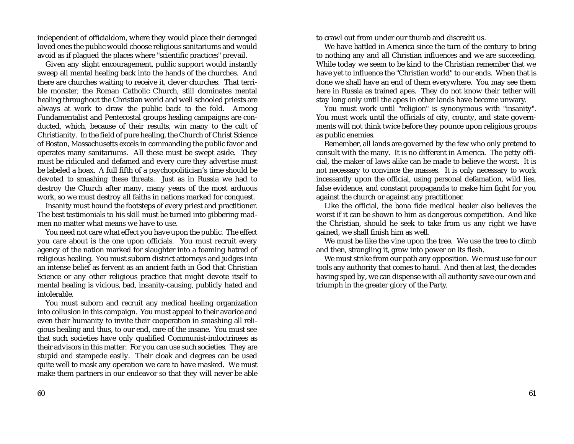independent of officialdom, where they would place their deranged loved ones the public would choose religious sanitariums and would avoid as if plagued the places where "scientific practices" prevail.

Given any slight encouragement, public support would instantly sweep all mental healing back into the hands of the churches. And there are churches waiting to receive it, clever churches. That terrible monster, the Roman Catholic Church, still dominates mental healing throughout the Christian world and well schooled priests are always at work to draw the public back to the fold. Among Fundamentalist and Pentecostal groups healing campaigns are conducted, which, because of their results, win many to the cult of Christianity. In the field of pure healing, the Church of Christ Science of Boston, Massachusetts excels in commanding the public favor and operates many sanitariums. All these must be swept aside. They must be ridiculed and defamed and every cure they advertise must be labeled a hoax. A full fifth of a psychopolitician's time should be devoted to smashing these threats. Just as in Russia we had to destroy the Church after many, many years of the most arduous work, so we must destroy all faiths in nations marked for conquest.

Insanity must hound the footsteps of every priest and practitioner. The best testimonials to his skill must be turned into gibbering madmen no matter what means we have to use.

You need not care what effect you have upon the public. The effect you care about is the one upon officials. You must recruit every agency of the nation marked for slaughter into a foaming hatred of religious healing. You must suborn district attorneys and judges into an intense belief as fervent as an ancient faith in God that Christian Science or any other religious practice that might devote itself to mental healing is vicious, bad, insanity-causing, publicly hated and intolerable.

You must suborn and recruit any medical healing organization into collusion in this campaign. You must appeal to their avarice and even their humanity to invite their cooperation in smashing all religious healing and thus, to our end, care of the insane. You must see that such societies have only qualified Communist-indoctrinees as their advisors in this matter. For you can use such societies. They are stupid and stampede easily. Their cloak and degrees can be used quite well to mask any operation we care to have masked. We must make them partners in our endeavor so that they will never be able to crawl out from under our thumb and discredit us.

We have battled in America since the turn of the century to bring to nothing any and all Christian influences and we are succeeding. While today we seem to be kind to the Christian remember that we have yet to influence the "Christian world" to our ends. When that is done we shall have an end of them everywhere. You may see them here in Russia as trained apes. They do not know their tether will stay long only until the apes in other lands have become unwary.

You must work until "religion" is synonymous with "insanity". You must work until the officials of city, county, and state governments will not think twice before they pounce upon religious groups as public enemies.

Remember, all lands are governed by the few who only pretend to consult with the many. It is no different in America. The petty official, the maker of laws alike can be made to believe the worst. It is not necessary to convince the masses. It is only necessary to work incessantly upon the official, using personal defamation, wild lies, false evidence, and constant propaganda to make him fight for you against the church or against any practitioner.

Like the official, the bona fide medical healer also believes the worst if it can be shown to him as dangerous competition. And like the Christian, should he seek to take from us any right we have gained, we shall finish him as well.

We must be like the vine upon the tree. We use the tree to climb and then, strangling it, grow into power on its flesh.

We must strike from our path any opposition. We must use for our tools any authority that comes to hand. And then at last, the decades having sped by, we can dispense with all authority save our own and triumph in the greater glory of the Party.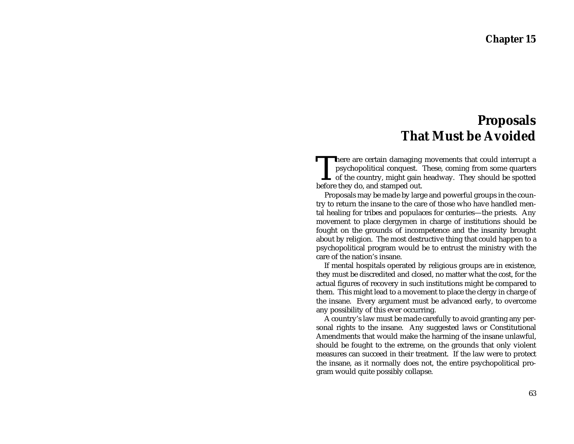#### **Chapter 15**

#### **Proposals That Must be Avoided**

There are certain damaging<br>psychopolitical conquest.<br>of the country, might gain<br>before they do, and stamped out. There are certain damaging movements that could interrupt a psychopolitical conquest. These, coming from some quarters of the country, might gain headway. They should be spotted

Proposals may be made by large and powerful groups in the country to return the insane to the care of those who have handled mental healing for tribes and populaces for centuries—the priests. Any movement to place clergymen in charge of institutions should be fought on the grounds of incompetence and the insanity brought about by religion. The most destructive thing that could happen to a psychopolitical program would be to entrust the ministry with the care of the nation's insane.

If mental hospitals operated by religious groups are in existence, they must be discredited and closed, no matter what the cost, for the actual figures of recovery in such institutions might be compared to them. This might lead to a movement to place the clergy in charge of the insane. Every argument must be advanced early, to overcome any possibility of this ever occurring.

A country's law must be made carefully to avoid granting any personal rights to the insane. Any suggested laws or Constitutional Amendments that would make the harming of the insane unlawful, should be fought to the extreme, on the grounds that only violent measures can succeed in their treatment. If the law were to protect the insane, as it normally does not, the entire psychopolitical program would quite possibly collapse.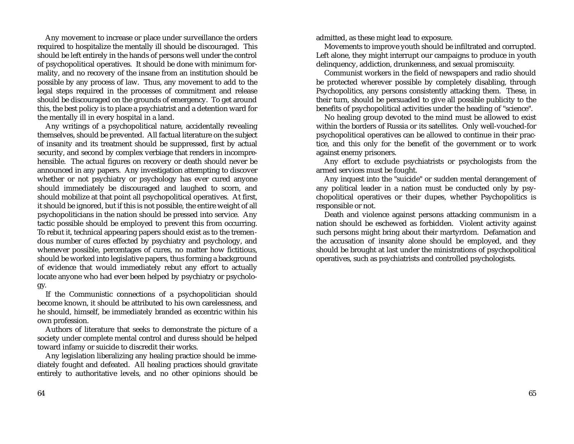Any movement to increase or place under surveillance the orders required to hospitalize the mentally ill should be discouraged. This should be left entirely in the hands of persons well under the control of psychopolitical operatives. It should be done with minimum formality, and no recovery of the insane from an institution should be possible by any process of law. Thus, any movement to add to the legal steps required in the processes of commitment and release should be discouraged on the grounds of emergency. To get around this, the best policy is to place a psychiatrist and a detention ward for the mentally ill in every hospital in a land.

Any writings of a psychopolitical nature, accidentally revealing themselves, should be prevented. All factual literature on the subject of insanity and its treatment should be suppressed, first by actual security, and second by complex verbiage that renders in incomprehensible. The actual figures on recovery or death should never be announced in any papers. Any investigation attempting to discover whether or not psychiatry or psychology has ever cured anyone should immediately be discouraged and laughed to scorn, and should mobilize at that point all psychopolitical operatives. At first, it should be ignored, but if this is not possible, the entire weight of all psychopoliticians in the nation should be pressed into service. Any tactic possible should be employed to prevent this from occurring. To rebut it, technical appearing papers should exist as to the tremendous number of cures effected by psychiatry and psychology, and whenever possible, percentages of cures, no matter how fictitious, should be worked into legislative papers, thus forming a background of evidence that would immediately rebut any effort to actually locate anyone who had ever been helped by psychiatry or psychology.

If the Communistic connections of a psychopolitician should become known, it should be attributed to his own carelessness, and he should, himself, be immediately branded as eccentric within his own profession.

Authors of literature that seeks to demonstrate the picture of a society under complete mental control and duress should be helped toward infamy or suicide to discredit their works.

Any legislation liberalizing any healing practice should be immediately fought and defeated. All healing practices should gravitate entirely to authoritative levels, and no other opinions should be

admitted, as these might lead to exposure.

Movements to improve youth should be infiltrated and corrupted. Left alone, they might interrupt our campaigns to produce in youth delinquency, addiction, drunkenness, and sexual promiscuity.

Communist workers in the field of newspapers and radio should be protected wherever possible by completely disabling, through Psychopolitics, any persons consistently attacking them. These, in their turn, should be persuaded to give all possible publicity to the benefits of psychopolitical activities under the heading of "science".

No healing group devoted to the mind must be allowed to exist within the borders of Russia or its satellites. Only well-vouched-for psychopolitical operatives can be allowed to continue in their practice, and this only for the benefit of the government or to work against enemy prisoners.

Any effort to exclude psychiatrists or psychologists from the armed services must be fought.

Any inquest into the "suicide" or sudden mental derangement of any political leader in a nation must be conducted only by psychopolitical operatives or their dupes, whether Psychopolitics is responsible or not.

Death and violence against persons attacking communism in a nation should be eschewed as forbidden. Violent activity against such persons might bring about their martyrdom. Defamation and the accusation of insanity alone should be employed, and they should be brought at last under the ministrations of psychopolitical operatives, such as psychiatrists and controlled psychologists.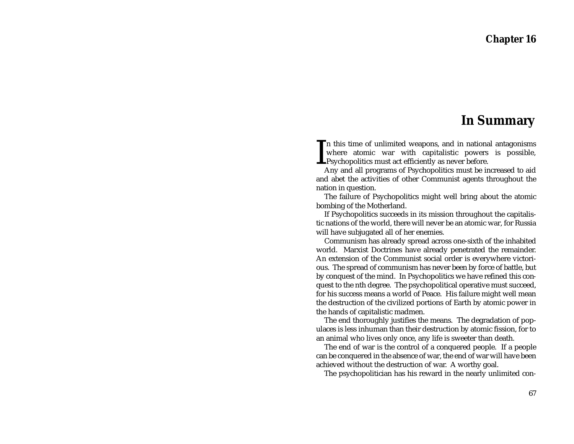#### **Chapter 16**

#### **In Summary**

I n this time of unlimited weapons, and in national antagonisms where atomic war with capitalistic powers is possible, Psychopolitics must act efficiently as never before.

Any and all programs of Psychopolitics must be increased to aid and abet the activities of other Communist agents throughout the nation in question.

The failure of Psychopolitics might well bring about the atomic bombing of the Motherland.

If Psychopolitics succeeds in its mission throughout the capitalistic nations of the world, there will never be an atomic war, for Russia will have subjugated all of her enemies.

Communism has already spread across one-sixth of the inhabited world. Marxist Doctrines have already penetrated the remainder. An extension of the Communist social order is everywhere victorious. The spread of communism has never been by force of battle, but by conquest of the mind. In Psychopolitics we have refined this conquest to the nth degree. The psychopolitical operative must succeed, for his success means a world of Peace. His failure might well mean the destruction of the civilized portions of Earth by atomic power in the hands of capitalistic madmen.

The end thoroughly justifies the means. The degradation of populaces is less inhuman than their destruction by atomic fission, for to an animal who lives only once, any life is sweeter than death.

The end of war is the control of a conquered people. If a people can be conquered in the absence of war, the end of war will have been achieved without the destruction of war. A worthy goal.

The psychopolitician has his reward in the nearly unlimited con-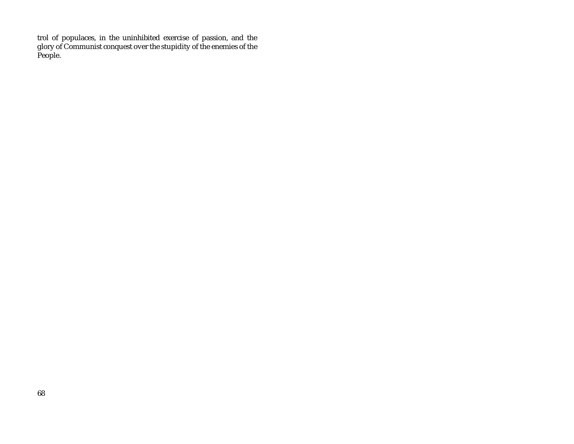trol of populaces, in the uninhibited exercise of passion, and the glory of Communist conquest over the stupidity of the enemies of the People.